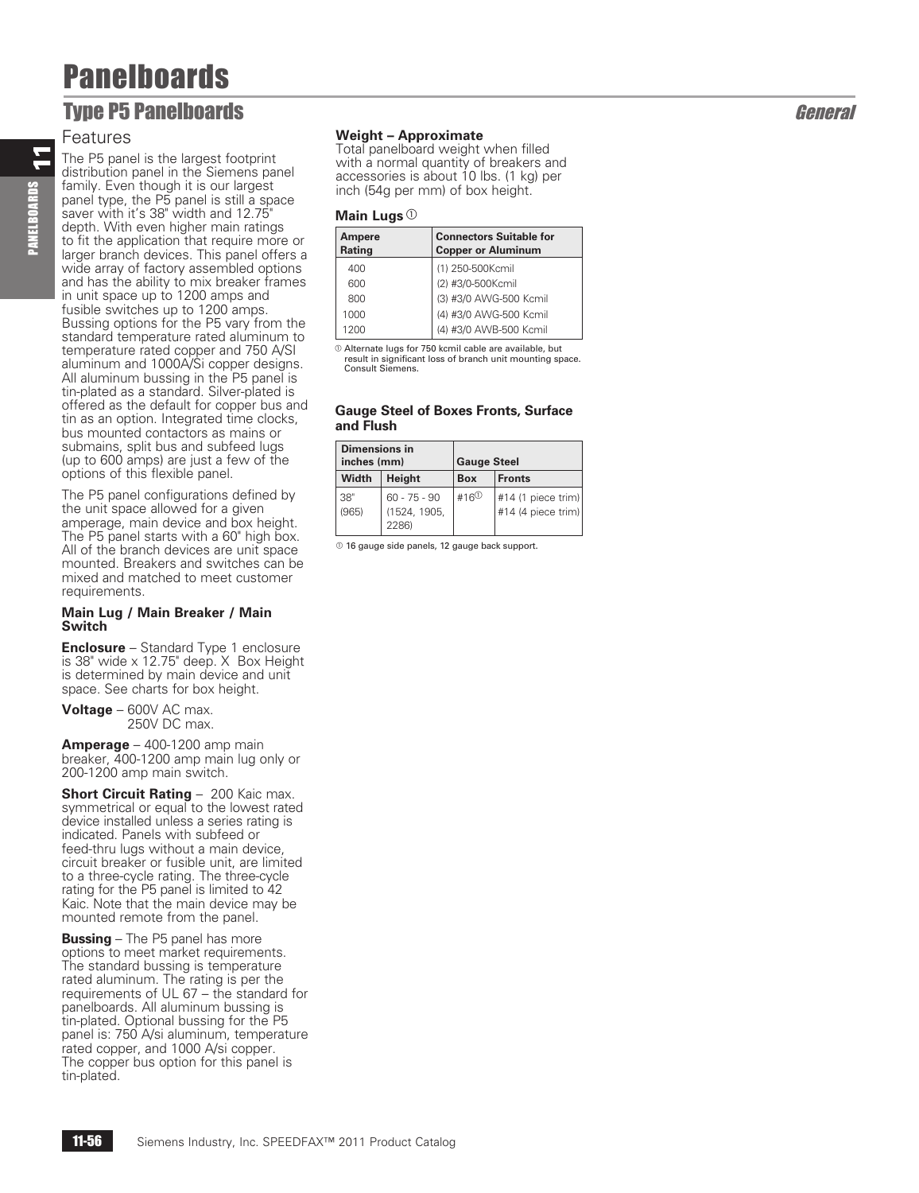## **Type P5 Panelboards General Security Security Security Security Security Security Security Security Security Security Security Security Security Security Security Security Security Security Security Security Security Secu**

### Features

11

PANELBOARDS

The P5 panel is the largest footprint distribution panel in the Siemens panel family. Even though it is our largest panel type, the P5 panel is still a space saver with it's 38" width and 12.75" depth. With even higher main ratings to fit the application that require more or larger branch devices. This panel offers a wide array of factory assembled options and has the ability to mix breaker frames in unit space up to 1200 amps and fusible switches up to 1200 amps. Bussing options for the P5 vary from the standard temperature rated aluminum to temperature rated copper and 750 A/SI aluminum and 1000A/Si copper designs. All aluminum bussing in the P5 panel is tin-plated as a standard. Silver-plated is offered as the default for copper bus and tin as an option. Integrated time clocks, bus mounted contactors as mains or submains, split bus and subfeed lugs (up to 600 amps) are just a few of the options of this flexible panel.

The P5 panel configurations defined by the unit space allowed for a given amperage, main device and box height. The P5 panel starts with a 60" high box. All of the branch devices are unit space mounted. Breakers and switches can be mixed and matched to meet customer requirements.

#### **Main Lug / Main Breaker / Main Switch**

**Enclosure** – Standard Type 1 enclosure is 38" wide x 12.75" deep. X Box Height is determined by main device and unit space. See charts for box height.

**Voltage** – 600V AC max. 250V DC max.

**Amperage** – 400-1200 amp main breaker, 400-1200 amp main lug only or 200-1200 amp main switch .

**Short Circuit Rating** – 200 Kaic max. symmetrical or equal to the lowest rated device installed unless a series rating is indicated. Panels with subfeed or feed-thru lugs without a main device, circuit breaker or fusible unit, are limited to a three-cycle rating. The three-cycle rating for the P5 panel is limited to 42 Kaic. Note that the main device may be mounted remote from the panel.

**Bussing** – The P5 panel has more options to meet market requirements. The standard bussing is temperature rated aluminum. The rating is per the requirements of UL 67 – the standard for panelboards. All aluminum bussing is tin-plated. Optional bussing for the P5 panel is: 750 A/si aluminum, temperature rated copper, and 1000 A/si copper. The copper bus option for this panel is tin-plated.

### **Weight – Approximate**

Total panelboard weight when filled with a normal quantity of breakers and accessories is about 10 lbs. (1 kg) per inch (54g per mm) of box height.

### **Main Lugs** a

| Ampere<br>Rating | <b>Connectors Suitable for</b><br><b>Copper or Aluminum</b> |
|------------------|-------------------------------------------------------------|
| 400              | (1) 250-500Kcmil                                            |
| 600              | (2) #3/0-500Kcmil                                           |
| 800              | (3) #3/0 AWG-500 Kcmil                                      |
| 1000             | (4) #3/0 AWG-500 Kcmil                                      |
| 1200             | (4) #3/0 AWB-500 Kcmil                                      |

 $@$  Alternate lugs for 750 kcmil cable are available, but result in significant loss of branch unit mounting space. Consult Siemens.

### **Gauge Steel of Boxes Fronts, Surface and Flush**

| <b>Dimensions in</b><br>inches (mm) |                                         | <b>Gauge Steel</b> |                                          |
|-------------------------------------|-----------------------------------------|--------------------|------------------------------------------|
| Width                               | Height                                  | <b>Box</b>         | <b>Fronts</b>                            |
| 38"<br>(965)                        | $60 - 75 - 90$<br>(1524, 1905,<br>2286) | #16 $\circ$        | #14 (1 piece trim)<br>#14 (4 piece trim) |

 $<sup>0</sup>$  16 gauge side panels, 12 gauge back support.</sup>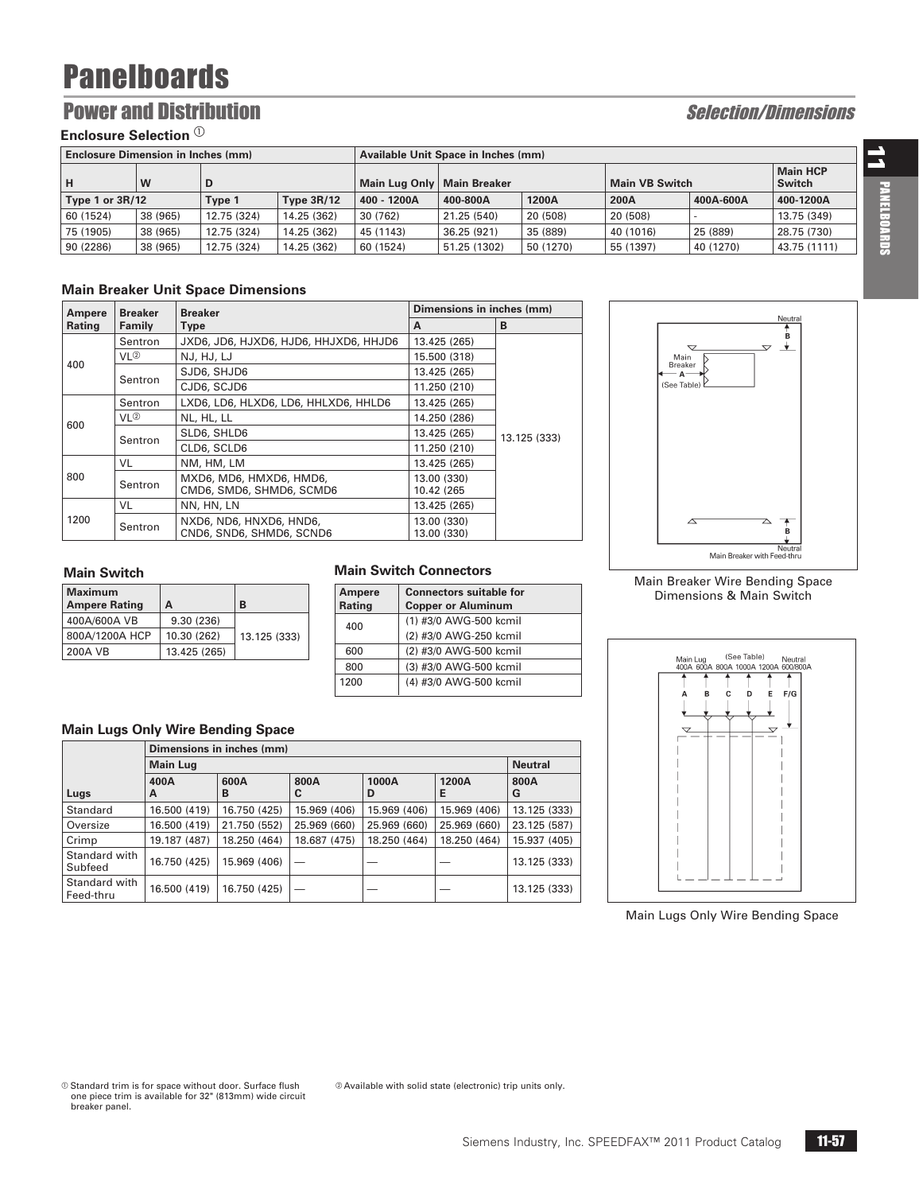### **Power and Distribution Selection Selection Selection Selection Selection Selection Selection Selection Selection Selection Selection Selection Selection Selection Selection Selection Selection Selection Selection Selectio**

### **Enclosure Selection**  $^{\textcircled{\tiny{1}}}$

| <b>Enclosure Dimension in Inches (mm)</b> |          |                             |             |                              | Available Unit Space in Inches (mm) |           |                |                                  |              |  |  |
|-------------------------------------------|----------|-----------------------------|-------------|------------------------------|-------------------------------------|-----------|----------------|----------------------------------|--------------|--|--|
| lн                                        | W        | D                           |             | Main Lug Only   Main Breaker |                                     |           | Main VB Switch | <b>Main HCP</b><br><b>Switch</b> |              |  |  |
| Type 1 or $3R/12$                         |          | <b>Type 3R/12</b><br>Type 1 |             | 400 - 1200A                  | 400-800A                            | 1200A     | 200A           | 400A-600A                        | 400-1200A    |  |  |
| 60 (1524)                                 | 38 (965) | 12.75 (324)                 | 14.25 (362) | 30 (762)                     | 21.25 (540)                         | 20 (508)  | 20 (508)       |                                  | 13.75 (349)  |  |  |
| 75 (1905)                                 | 38 (965) | 12.75 (324)<br>14.25 (362)  |             | 45 (1143)                    | 36.25 (921)                         | 35 (889)  |                | 25 (889)                         | 28.75 (730)  |  |  |
| 90 (2286)                                 | 38 (965) | 12.75 (324)                 | 14.25 (362) | 60 (1524)                    | 51.25 (1302)                        | 50 (1270) | 55 (1397)      | 40 (1270)                        | 43.75 (1111) |  |  |

### **Main Breaker Unit Space Dimensions**

| Ampere | <b>Breaker</b>                                                 | <b>Breaker</b>                                      | Dimensions in inches (mm)  |              |
|--------|----------------------------------------------------------------|-----------------------------------------------------|----------------------------|--------------|
| Rating | Family                                                         | <b>Type</b>                                         | A                          | B            |
|        | Sentron                                                        | JXD6, JD6, HJXD6, HJD6, HHJXD6, HHJD6               | 13.425 (265)               |              |
| 400    | VL <sup>②</sup>                                                | NJ, HJ, LJ                                          | 15,500 (318)               |              |
|        | Sentron                                                        | SJD6, SHJD6                                         | 13.425 (265)               |              |
|        |                                                                | CJD6, SCJD6                                         | 11.250 (210)               |              |
|        | Sentron                                                        | LXD6, LD6, HLXD6, LD6, HHLXD6, HHLD6                | 13.425 (265)               |              |
| 600    | VL <sup>2</sup>                                                | NL, HL, LL                                          | 14.250 (286)               |              |
|        |                                                                | SLD6, SHLD6                                         | 13.425 (265)               | 13.125 (333) |
|        | Sentron                                                        | CLD6, SCLD6                                         | 11.250 (210)               |              |
|        | VL                                                             | NM, HM, LM                                          | 13.425 (265)               |              |
| 800    | MXD6, MD6, HMXD6, HMD6,<br>Sentron<br>CMD6, SMD6, SHMD6, SCMD6 |                                                     | 13.00 (330)<br>10.42 (265) |              |
|        | VL                                                             | NN, HN, LN                                          | 13.425 (265)               |              |
| 1200   | Sentron                                                        | NXD6, ND6, HNXD6, HND6,<br>CND6, SND6, SHMD6, SCND6 | 13.00 (330)<br>13.00 (330) |              |

### Neutral Б  $\overline{\mathbf{r}}$  $\overline{\mathbf{v}}$ Main<br>Breaker  $\overline{R}$  $\mathsf{A}^ (See Table)$ B. Main Breaker with Fe veuu<br>ed-th

### **Main Switch**

| <b>Maximum</b><br><b>Ampere Rating</b> | A            | B            |
|----------------------------------------|--------------|--------------|
| 400A/600A VB                           | 9.30(236)    |              |
| 800A/1200A HCP                         | 10.30 (262)  | 13.125 (333) |
| 200A VB                                | 13.425 (265) |              |

### **Main Switch Connectors**

| <b>Ampere</b> | <b>Connectors suitable for</b> |  |  |  |  |  |  |
|---------------|--------------------------------|--|--|--|--|--|--|
| Rating        | <b>Copper or Aluminum</b>      |  |  |  |  |  |  |
| 400           | (1) #3/0 AWG-500 kcmil         |  |  |  |  |  |  |
|               | (2) #3/0 AWG-250 kcmil         |  |  |  |  |  |  |
| 600           | (2) #3/0 AWG-500 kcmil         |  |  |  |  |  |  |
| 800           | (3) #3/0 AWG-500 kcmil         |  |  |  |  |  |  |
| 1200          | (4) #3/0 AWG-500 kcmil         |  |  |  |  |  |  |

Available with solid state (electronic) trip units only.

### **Main Lugs Only Wire Bending Space**

|                            |                 | Dimensions in inches (mm) |              |              |              |                |  |  |  |  |  |  |
|----------------------------|-----------------|---------------------------|--------------|--------------|--------------|----------------|--|--|--|--|--|--|
|                            | <b>Main Lug</b> |                           |              |              |              | <b>Neutral</b> |  |  |  |  |  |  |
| Lugs                       | 400A<br>А       | 600A<br>в                 | 800A<br>C    | 1000A<br>D   | 1200A<br>Е   | 800A<br>G      |  |  |  |  |  |  |
| Standard                   | 16.500 (419)    | 16.750 (425)              | 15.969 (406) | 15.969 (406) | 15.969 (406) | 13.125 (333)   |  |  |  |  |  |  |
| Oversize                   | 16.500 (419)    | 21.750 (552)              | 25.969 (660) | 25.969 (660) | 25.969 (660) | 23.125 (587)   |  |  |  |  |  |  |
| Crimp                      | 19.187 (487)    | 18.250 (464)              | 18.687 (475) | 18.250 (464) | 18.250 (464) | 15.937 (405)   |  |  |  |  |  |  |
| Standard with<br>Subfeed   | 16.750 (425)    | 15.969 (406)              |              |              |              | 13.125 (333)   |  |  |  |  |  |  |
| Standard with<br>Feed-thru | 16.500 (419)    | 16.750 (425)              |              |              |              | 13.125 (333)   |  |  |  |  |  |  |

#### Main Breaker Wire Bending Space Dimensions & Main Switch



Main Lugs Only Wire Bending Space

11 PANELBOARDS PANELBOARDS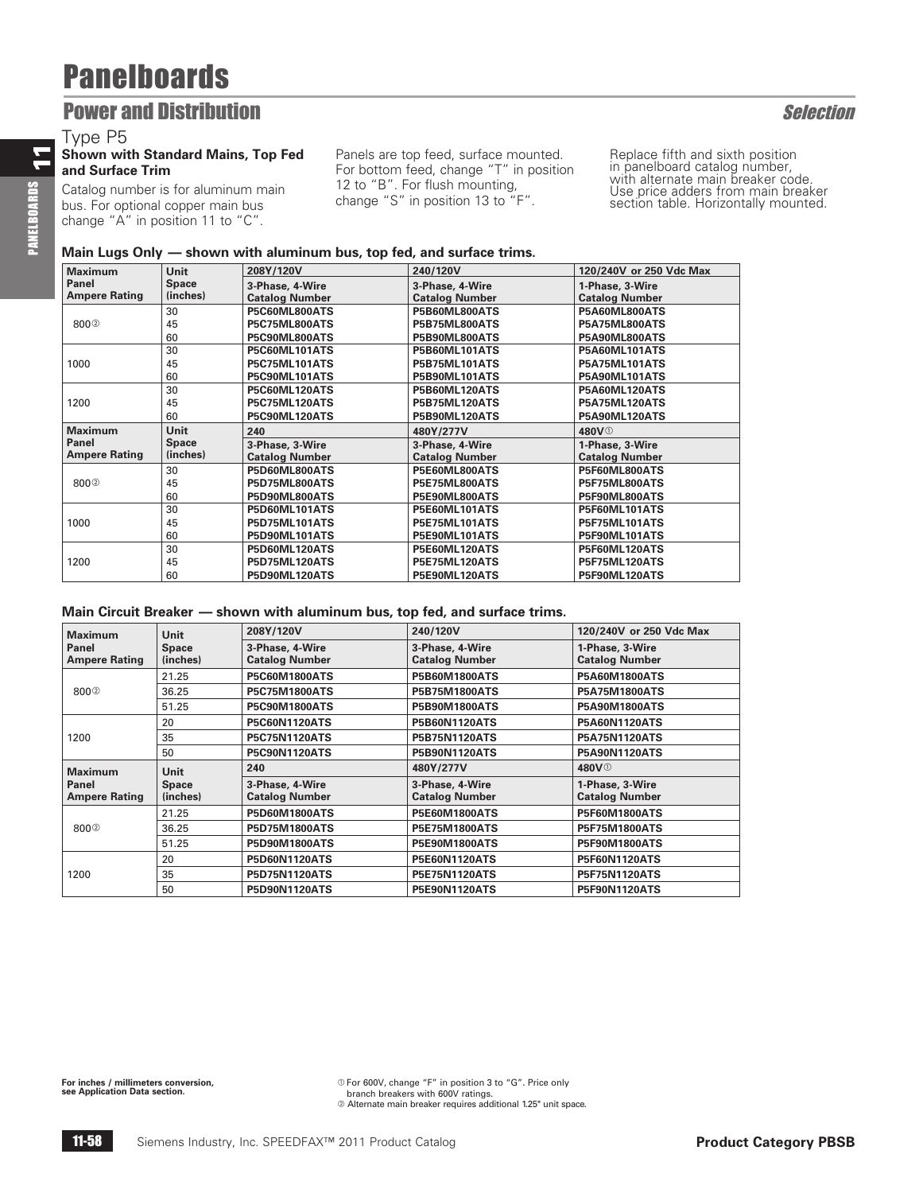### **Power and Distribution Selection** Selection

### Type P5

### **Shown with Standard Mains, Top Fed and Surface Trim**

Catalog number is for aluminum main bus. For optional copper main bus change "A" in position 11 to "C".

Panels are top feed, surface mounted. For bottom feed, change "T" in position 12 to "B". For flush mounting, change "S" in position 13 to "F".

Replace fifth and sixth position in panelboard catalog number, with alternate main breaker code. Use price adders from main breaker section table. Horizontally mounted.

### **Main Lugs Only — shown with aluminum bus, top fed, and surface trims.**

| <b>Maximum</b>       | <b>Unit</b>  | 208Y/120V             | 240/120V              | 120/240V or 250 Vdc Max |
|----------------------|--------------|-----------------------|-----------------------|-------------------------|
| Panel                | <b>Space</b> | 3-Phase, 4-Wire       | 3-Phase, 4-Wire       | 1-Phase, 3-Wire         |
| <b>Ampere Rating</b> | (inches)     | <b>Catalog Number</b> | <b>Catalog Number</b> | <b>Catalog Number</b>   |
|                      | 30           | P5C60ML800ATS         | P5B60ML800ATS         | P5A60ML800ATS           |
| 8002                 | 45           | P5C75ML800ATS         | <b>P5B75ML800ATS</b>  | P5A75ML800ATS           |
|                      | 60           | P5C90ML800ATS         | P5B90ML800ATS         | P5A90ML800ATS           |
|                      | 30           | P5C60ML101ATS         | P5B60ML101ATS         | P5A60ML101ATS           |
| 1000                 | 45           | <b>P5C75ML101ATS</b>  | <b>P5B75ML101ATS</b>  | <b>P5A75ML101ATS</b>    |
|                      | 60           | P5C90ML101ATS         | P5B90ML101ATS         | P5A90ML101ATS           |
|                      | 30           | P5C60ML120ATS         | P5B60ML120ATS         | P5A60ML120ATS           |
| 1200                 | 45           | <b>P5C75ML120ATS</b>  | <b>P5B75ML120ATS</b>  | P5A75ML120ATS           |
|                      | 60           | P5C90ML120ATS         | P5B90ML120ATS         | P5A90ML120ATS           |
| <b>Maximum</b>       | <b>Unit</b>  | 240                   | 480Y/277V             | 480V <sup>O</sup>       |
| Panel                | <b>Space</b> | 3-Phase, 3-Wire       | 3-Phase, 4-Wire       | 1-Phase, 3-Wire         |
| <b>Ampere Rating</b> | (inches)     | <b>Catalog Number</b> | <b>Catalog Number</b> | <b>Catalog Number</b>   |
|                      | 30           | P5D60ML800ATS         | P5E60ML800ATS         | P5F60ML800ATS           |
| 8002                 | 45           | <b>P5D75ML800ATS</b>  | P5E75ML800ATS         | P5F75ML800ATS           |
|                      | 60           | P5D90ML800ATS         | P5E90ML800ATS         | P5F90ML800ATS           |
|                      | 30           | P5D60ML101ATS         | P5E60ML101ATS         | P5F60ML101ATS           |
| 1000                 | 45           | <b>P5D75ML101ATS</b>  | <b>P5E75ML101ATS</b>  | P5F75ML101ATS           |
|                      | 60           | P5D90ML101ATS         | P5E90ML101ATS         | P5F90ML101ATS           |
|                      |              |                       |                       |                         |
|                      | 30           | P5D60ML120ATS         | P5E60ML120ATS         | P5F60ML120ATS           |
| 1200                 | 45           | P5D75ML120ATS         | <b>P5E75ML120ATS</b>  | P5F75ML120ATS           |

### **Main Circuit Breaker — shown with aluminum bus, top fed, and surface trims.**

| <b>Maximum</b>       | <b>Unit</b>  | 208Y/120V             | 240/120V              | 120/240V or 250 Vdc Max |  |
|----------------------|--------------|-----------------------|-----------------------|-------------------------|--|
| Panel                | <b>Space</b> | 3-Phase, 4-Wire       | 3-Phase, 4-Wire       | 1-Phase, 3-Wire         |  |
| <b>Ampere Rating</b> | (inches)     | <b>Catalog Number</b> | <b>Catalog Number</b> | <b>Catalog Number</b>   |  |
|                      | 21.25        | P5C60M1800ATS         | P5B60M1800ATS         | <b>P5A60M1800ATS</b>    |  |
| 800 <sup>2</sup>     | 36.25        | <b>P5C75M1800ATS</b>  | <b>P5B75M1800ATS</b>  | <b>P5A75M1800ATS</b>    |  |
|                      | 51.25        | <b>P5C90M1800ATS</b>  | <b>P5B90M1800ATS</b>  | <b>P5A90M1800ATS</b>    |  |
|                      | 20           | <b>P5C60N1120ATS</b>  | <b>P5B60N1120ATS</b>  | <b>P5A60N1120ATS</b>    |  |
| 1200                 | 35           | <b>P5C75N1120ATS</b>  | <b>P5B75N1120ATS</b>  | <b>P5A75N1120ATS</b>    |  |
|                      | 50           | <b>P5C90N1120ATS</b>  | <b>P5B90N1120ATS</b>  | <b>P5A90N1120ATS</b>    |  |
| <b>Maximum</b>       | <b>Unit</b>  | 240                   | 480Y/277V             | 480V <sup>O</sup>       |  |
| Panel                | <b>Space</b> | 3-Phase, 4-Wire       | 3-Phase, 4-Wire       | 1-Phase, 3-Wire         |  |
| <b>Ampere Rating</b> | (inches)     | <b>Catalog Number</b> | <b>Catalog Number</b> | <b>Catalog Number</b>   |  |
|                      | 21.25        | <b>P5D60M1800ATS</b>  | <b>P5E60M1800ATS</b>  | <b>P5F60M1800ATS</b>    |  |
| 800 <sup>2</sup>     | 36.25        | <b>P5D75M1800ATS</b>  | <b>P5E75M1800ATS</b>  | <b>P5F75M1800ATS</b>    |  |
|                      | 51.25        | <b>P5D90M1800ATS</b>  | <b>P5E90M1800ATS</b>  | <b>P5F90M1800ATS</b>    |  |
|                      | 20           | <b>P5D60N1120ATS</b>  | <b>P5E60N1120ATS</b>  | <b>P5F60N1120ATS</b>    |  |
| 1200                 | 35           | <b>P5D75N1120ATS</b>  | <b>P5E75N1120ATS</b>  | <b>P5F75N1120ATS</b>    |  |
|                      | 50           | <b>P5D90N1120ATS</b>  | <b>P5E90N1120ATS</b>  | <b>P5F90N1120ATS</b>    |  |

**For inches / millimeters conversion, see Application Data section.**

 $\degree$  For 600V, change "F" in position 3 to "G". Price only branch breakers with 600V ratings. b Alternate main breaker requires additional 1.25" unit space.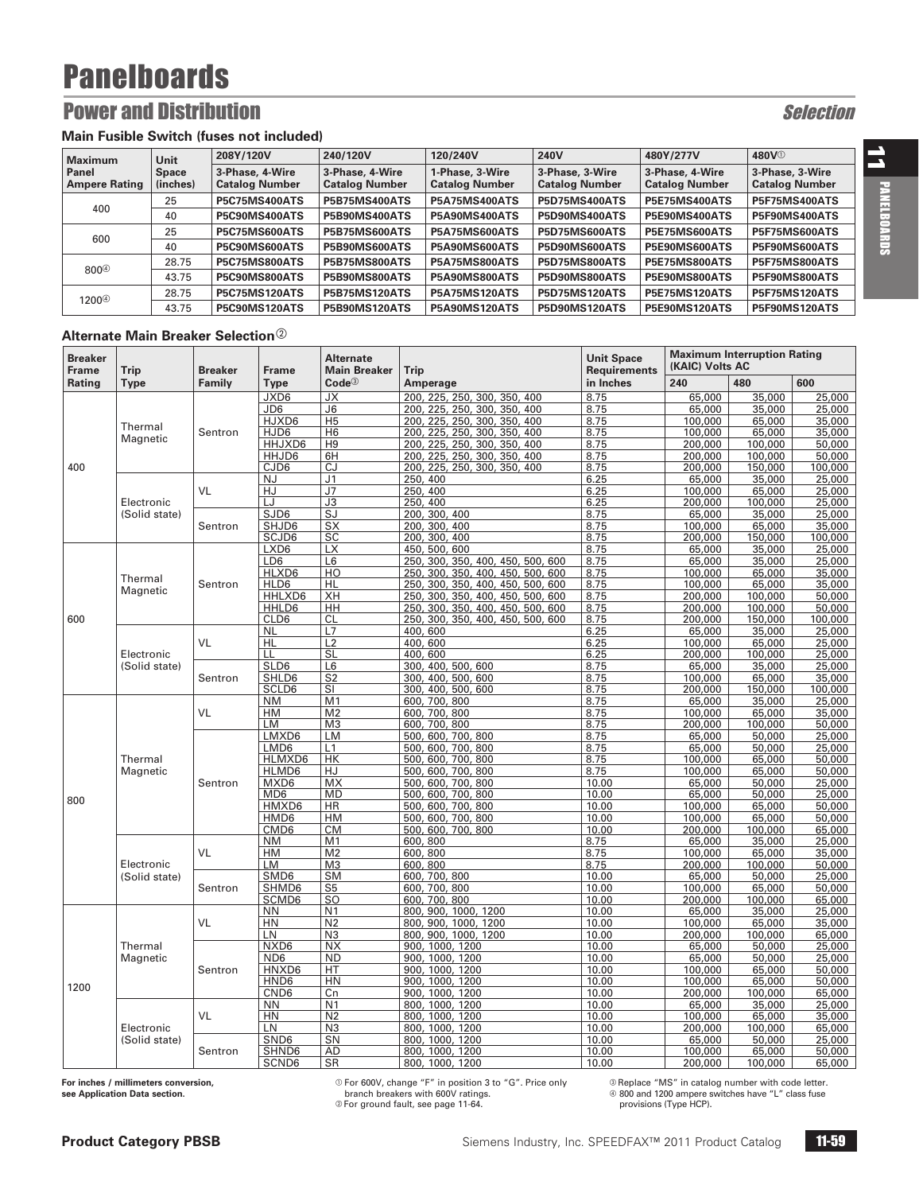### **Power and Distribution Selection** Selection

### **Main Fusible Switch (fuses not included)**

| <b>Maximum</b>       | Unit         | 208Y/120V             | 240/120V              | 120/240V              | 240V                  | 480Y/277V             | 480V <sup>O</sup>     |
|----------------------|--------------|-----------------------|-----------------------|-----------------------|-----------------------|-----------------------|-----------------------|
| l Panel              | <b>Space</b> | 3-Phase, 4-Wire       | 3-Phase, 4-Wire       | 1-Phase, 3-Wire       | 3-Phase, 3-Wire       | 3-Phase, 4-Wire       | 3-Phase, 3-Wire       |
| <b>Ampere Rating</b> | (inches)     | <b>Catalog Number</b> | <b>Catalog Number</b> | <b>Catalog Number</b> | <b>Catalog Number</b> | <b>Catalog Number</b> | <b>Catalog Number</b> |
| 400                  | 25           | <b>P5C75MS400ATS</b>  | <b>P5B75MS400ATS</b>  | <b>P5A75MS400ATS</b>  | <b>P5D75MS400ATS</b>  | <b>P5E75MS400ATS</b>  | <b>P5F75MS400ATS</b>  |
|                      | 40           | P5C90MS400ATS         | <b>P5B90MS400ATS</b>  | <b>P5A90MS400ATS</b>  | <b>P5D90MS400ATS</b>  | <b>P5E90MS400ATS</b>  | <b>P5F90MS400ATS</b>  |
|                      | 25           | <b>P5C75MS600ATS</b>  | <b>P5B75MS600ATS</b>  | <b>P5A75MS600ATS</b>  | <b>P5D75MS600ATS</b>  | <b>P5E75MS600ATS</b>  | <b>P5F75MS600ATS</b>  |
| 600                  | 40           | P5C90MS600ATS         | <b>P5B90MS600ATS</b>  | <b>P5A90MS600ATS</b>  | P5D90MS600ATS         | P5E90MS600ATS         | P5F90MS600ATS         |
| 800 <sup>4</sup>     | 28.75        | <b>P5C75MS800ATS</b>  | <b>P5B75MS800ATS</b>  | <b>P5A75MS800ATS</b>  | <b>P5D75MS800ATS</b>  | <b>P5E75MS800ATS</b>  | <b>P5F75MS800ATS</b>  |
|                      | 43.75        | P5C90MS800ATS         | <b>P5B90MS800ATS</b>  | <b>P5A90MS800ATS</b>  | <b>P5D90MS800ATS</b>  | <b>P5E90MS800ATS</b>  | <b>P5F90MS800ATS</b>  |
| 1200 <sup>4</sup>    | 28.75        | <b>P5C75MS120ATS</b>  | <b>P5B75MS120ATS</b>  | <b>P5A75MS120ATS</b>  | <b>P5D75MS120ATS</b>  | <b>P5E75MS120ATS</b>  | <b>P5F75MS120ATS</b>  |
|                      | 43.75        | <b>P5C90MS120ATS</b>  | <b>P5B90MS120ATS</b>  | <b>P5A90MS120ATS</b>  | <b>P5D90MS120ATS</b>  | <b>P5E90MS120ATS</b>  | <b>P5F90MS120ATS</b>  |

#### **Alternate Main Breaker Selection**<sup>2</sup>

| <b>Breaker</b><br><b>Frame</b> | Trip          | <b>Breaker</b> | <b>Frame</b>     | <b>Alternate</b><br><b>Main Breaker</b> | <b>Trip</b>                             | <b>Unit Space</b><br><b>Requirements</b> | <b>Maximum Interruption Rating</b><br>(KAIC) Volts AC |                   |                  |
|--------------------------------|---------------|----------------|------------------|-----------------------------------------|-----------------------------------------|------------------------------------------|-------------------------------------------------------|-------------------|------------------|
| Rating                         | <b>Type</b>   | Family         | <b>Type</b>      | <b>Code</b> <sup>3</sup>                | Amperage                                | in Inches                                | 240                                                   | 480               | 600              |
|                                |               |                | JXD6             | JХ                                      | 200, 225, 250, 300, 350, 400            | 8.75                                     | 65,000                                                | 35,000            | 25,000           |
|                                |               |                | JD6              | J <sub>6</sub>                          | 200, 225, 250, 300, 350, 400            | 8.75                                     | 65,000                                                | 35,000            | 25,000           |
|                                | Thermal       |                | HJXD6            | H <sub>5</sub>                          | 200, 225, 250, 300, 350, 400            | 8.75                                     | 100,000                                               | 65,000            | 35,000           |
|                                | Magnetic      | Sentron        | HJD6             | H <sub>6</sub>                          | 200, 225, 250, 300, 350, 400            | 8.75                                     | 100,000                                               | 65,000            | 35,000           |
|                                |               |                | HHJXD6           | H <sub>9</sub>                          | 200, 225, 250, 300, 350, 400            | 8.75                                     | 200,000                                               | 100,000           | 50,000           |
|                                |               |                | HHJD6            | 6H                                      | 200, 225, 250, 300, 350, 400            | 8.75                                     | 200,000                                               | 100,000           | 50,000           |
| 400                            |               |                | CJD6             | CJ                                      | 200, 225, 250, 300, 350, 400            | 8.75                                     | 200,000                                               | 150,000           | 100,000          |
|                                |               |                | <b>NJ</b>        | J <sub>1</sub>                          | 250, 400                                | 6.25                                     | 65,000                                                | 35,000            | 25,000           |
|                                |               | VL             | HJ               | J <sub>7</sub>                          | 250, 400                                | 6.25                                     | 100,000                                               | 65,000            | 25,000           |
|                                | Electronic    |                | LJ<br>SJD6       | J3<br>SJ                                | 250, 400<br>200, 300, 400               | 6.25<br>8.75                             | 200,000<br>65,000                                     | 100,000<br>35,000 | 25,000<br>25,000 |
|                                | (Solid state) | Sentron        | SHJD6            | <b>SX</b>                               | 200, 300, 400                           | 8.75                                     | 100,000                                               | 65,000            | 35,000           |
|                                |               |                | SCJD6            | SC                                      | 200, 300, 400                           | 8.75                                     | 200,000                                               | 150,000           | 100,000          |
|                                |               |                | LXD6             | <b>LX</b>                               | 450, 500, 600                           | 8.75                                     | 65,000                                                | 35,000            | 25,000           |
|                                |               |                | LD6              | L6                                      | 250, 300,<br>350, 400, 450, 500, 600    | 8.75                                     | 65,000                                                | 35,000            | 25,000           |
|                                |               |                | HLXD6            | HO                                      | 250, 300,<br>350, 400, 450, 500, 600    | 8.75                                     | 100,000                                               | 65,000            | 35,000           |
|                                | Thermal       | Sentron        | HLD6             | <b>HL</b>                               | 250, 300, 350, 400, 450, 500, 600       | 8.75                                     | 100,000                                               | 65,000            | 35,000           |
|                                | Magnetic      |                | HHLXD6           | XH                                      | 250, 300, 350, 400, 450, 500, 600       | 8.75                                     | 200,000                                               | 100,000           | 50,000           |
|                                |               |                | HHLD6            | HH                                      | 250.<br>300,<br>350, 400, 450, 500, 600 | 8.75                                     | 200,000                                               | 100,000           | 50,000           |
| 600                            |               |                | CLD6             | <b>CL</b>                               | 300, 350, 400, 450, 500, 600<br>250,    | 8.75                                     | 200,000                                               | 150,000           | 100,000          |
|                                |               |                | <b>NL</b>        | L7                                      | 400,600                                 | 6.25                                     | 65,000                                                | 35,000            | 25,000           |
|                                |               | VL             | HL               | L2                                      | 400,600                                 | 6.25                                     | 100,000                                               | 65,000            | 25,000           |
|                                | Electronic    |                | LL               | SL                                      | 400,600                                 | 6.25                                     | 200,000                                               | 100,000           | 25,000           |
|                                | (Solid state) |                | SLD6             | L <sub>6</sub>                          | 300.<br>400, 500, 600                   | 8.75                                     | 65,000                                                | 35,000            | 25,000           |
|                                |               | Sentron        | SHLD6            | S <sub>2</sub>                          | 400, 500, 600<br>300,                   | 8.75                                     | 100,000                                               | 65,000            | 35,000           |
|                                |               |                | SCLD6            | SI                                      | 300, 400, 500, 600                      | 8.75                                     | 200.000                                               | 150,000           | 100,000          |
|                                |               |                | <b>NM</b>        | M <sub>1</sub>                          | 600, 700, 800                           | 8.75                                     | 65,000                                                | 35,000            | 25,000           |
|                                |               | VL             | HM               | M <sub>2</sub>                          | 600, 700, 800                           | 8.75                                     | 100,000                                               | 65,000            | 35,000           |
|                                |               |                | LM<br>LMXD6      | M <sub>3</sub><br>LM                    | 600, 700, 800<br>500, 600, 700, 800     | 8.75<br>8.75                             | 200,000<br>65,000                                     | 100,000<br>50,000 | 50,000<br>25,000 |
|                                |               | Sentron        | LMD6             | L1                                      | 500, 600, 700, 800                      | 8.75                                     | 65,000                                                | 50,000            | 25,000           |
|                                | Thermal       |                | HLMXD6           | <b>HK</b>                               | 500, 600, 700, 800                      | 8.75                                     | 100,000                                               | 65,000            | 50,000           |
|                                | Magnetic      |                | HLMD6            | <b>HJ</b>                               | 600, 700, 800<br>500.                   | 8.75                                     | 100.000                                               | 65,000            | 50,000           |
|                                |               |                | MXD6             | MX                                      | 500,<br>600, 700, 800                   | 10.00                                    | 65,000                                                | 50,000            | 25,000           |
|                                |               |                | MD <sub>6</sub>  | <b>MD</b>                               | 500, 600, 700, 800                      | 10.00                                    | 65,000                                                | 50,000            | 25,000           |
| 800                            |               |                | HMXD6            | <b>HR</b>                               | 500, 600, 700, 800                      | 10.00                                    | 100,000                                               | 65,000            | 50,000           |
|                                |               |                | HMD6             | <b>HM</b>                               | 500, 600, 700, 800                      | 10.00                                    | 100,000                                               | 65,000            | 50,000           |
|                                |               |                | CMD <sub>6</sub> | <b>CM</b>                               | 500, 600, 700, 800                      | 10.00                                    | 200,000                                               | 100,000           | 65,000           |
|                                |               |                | <b>NM</b>        | M <sub>1</sub>                          | 600, 800                                | 8.75                                     | 65,000                                                | 35,000            | 25,000           |
|                                |               | VL             | HM               | M <sub>2</sub>                          | 600, 800                                | 8.75                                     | 100,000                                               | 65,000            | 35,000           |
|                                | Electronic    |                | LM               | M <sub>3</sub>                          | 600, 800                                | 8.75                                     | 200,000                                               | 100,000           | 50,000           |
|                                | (Solid state) |                | SMD6             | <b>SM</b>                               | 600, 700, 800                           | 10.00                                    | 65,000                                                | 50,000            | 25,000           |
|                                |               | Sentron        | SHMD6            | S <sub>5</sub>                          | 600, 700, 800                           | 10.00                                    | 100.000                                               | 65,000            | 50,000           |
|                                |               |                | SCMD6            | SO.                                     | 600, 700, 800                           | 10.00                                    | 200,000                                               | 100,000           | 65,000           |
|                                |               |                | <b>NN</b>        | N <sub>1</sub>                          | 800, 900, 1000, 1200                    | 10.00                                    | 65,000                                                | 35,000            | 25,000           |
|                                |               | VL             | HN<br>LN         | N <sub>2</sub>                          | 800, 900, 1000, 1200                    | 10.00                                    | 100,000                                               | 65,000            | 35,000           |
|                                | Thermal       |                | NXD6             | N <sub>3</sub><br><b>NX</b>             | 800, 900, 1000, 1200<br>900, 1000, 1200 | 10.00<br>10.00                           | 200,000<br>65,000                                     | 100,000<br>50,000 | 65,000<br>25,000 |
|                                |               |                | ND <sub>6</sub>  | <b>ND</b>                               | 900, 1000, 1200                         | 10.00                                    | 65,000                                                | 50,000            | 25,000           |
|                                | Magnetic      | Sentron        | HNXD6            | HT                                      | 900, 1000, 1200                         | 10.00                                    | 100,000                                               | 65,000            | 50,000           |
|                                |               |                | HND6             | HN                                      | 900, 1000, 1200                         | 10.00                                    | 100,000                                               | 65,000            | 50,000           |
| 1200                           |               |                | CND <sub>6</sub> | Cn                                      | 900, 1000, 1200                         | 10.00                                    | 200,000                                               | 100,000           | 65,000           |
|                                |               |                | <b>NN</b>        | N <sub>1</sub>                          | 800, 1000, 1200                         | 10.00                                    | 65,000                                                | 35,000            | 25,000           |
|                                |               | VL             | HN               | N <sub>2</sub>                          | 800, 1000,<br>1200                      | 10.00                                    | 100,000                                               | 65,000            | 35,000           |
|                                | Electronic    |                | LN               | N <sub>3</sub>                          | 800, 1000, 1200                         | 10.00                                    | 200,000                                               | 100,000           | 65,000           |
|                                | (Solid state) |                | SND6             | SN                                      | 800, 1000, 1200                         | 10.00                                    | 65,000                                                | 50,000            | 25,000           |
|                                |               | Sentron        | SHND6            | AD                                      | 800, 1000, 1200                         | 10.00                                    | 100,000                                               | 65,000            | 50,000           |
|                                |               |                | SCND6            | <b>SR</b>                               | 800, 1000, 1200                         | 10.00                                    | 200,000                                               | 100,000           | 65,000           |

**For inches / millimeters conversion, see Application Data section.**

 $\degree$  For 600V, change "F" in position 3 to "G". Price only branch breakers with 600V ratings. b For ground fault, see page 11-64.

® Replace "MS" in catalog number with code letter. d 800 and 1200 ampere switches have "L" class fuse provisions (Type HCP).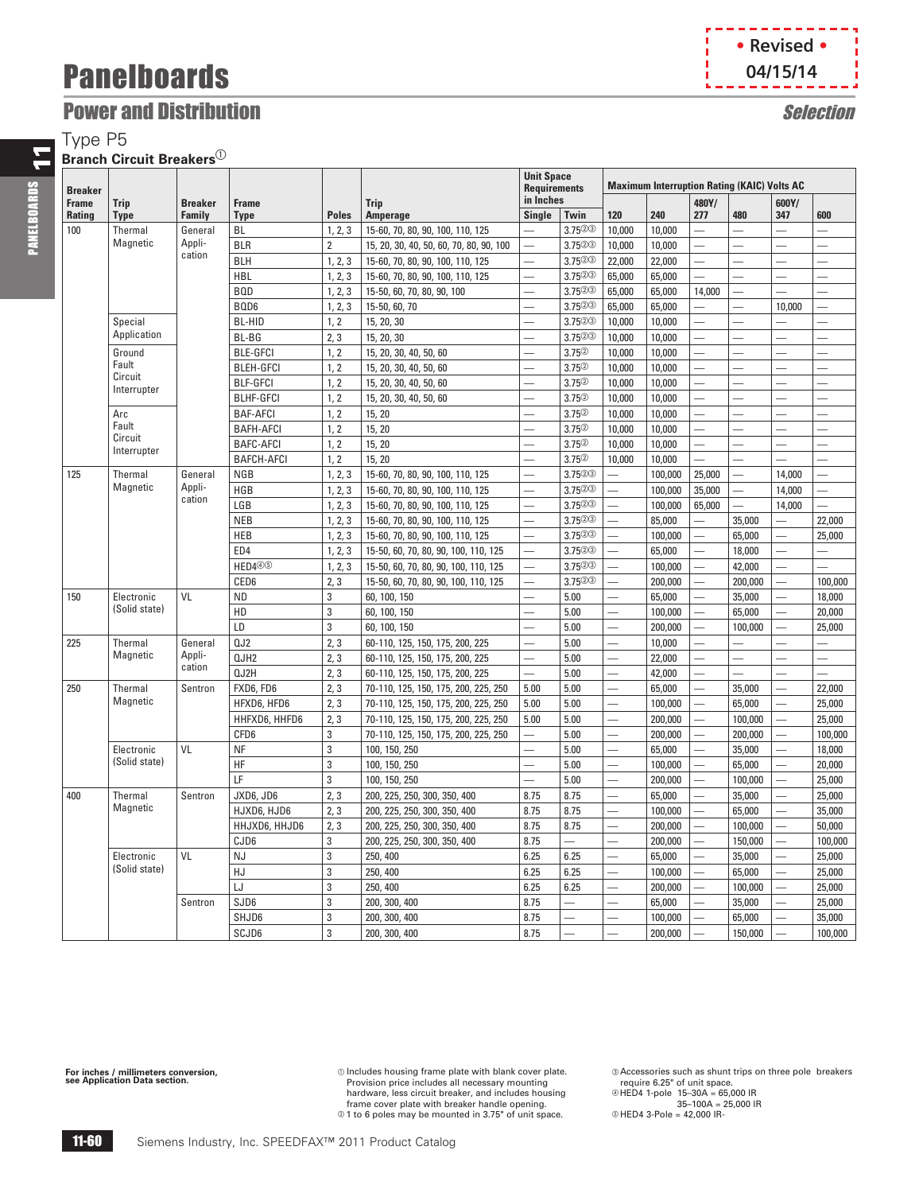### **Power and Distribution** Selection Selection

Type P5

### **Branch Circuit Breakers**<sup>1</sup>

| <b>Breaker</b> |                        |                |                   |                |                                         |                          | <b>Unit Space</b><br><b>Requirements</b> |                          | <b>Maximum Interruption Rating (KAIC) Volts AC</b> |                          |                          |                          |                                                                                                                                                                                                                               |
|----------------|------------------------|----------------|-------------------|----------------|-----------------------------------------|--------------------------|------------------------------------------|--------------------------|----------------------------------------------------|--------------------------|--------------------------|--------------------------|-------------------------------------------------------------------------------------------------------------------------------------------------------------------------------------------------------------------------------|
| <b>Frame</b>   | <b>Trip</b>            | <b>Breaker</b> | <b>Frame</b>      |                | <b>Trip</b>                             | in Inches                |                                          |                          |                                                    | 480Y/                    |                          | 600Y/                    |                                                                                                                                                                                                                               |
| <b>Rating</b>  | <b>Type</b>            | Family         | <b>Type</b>       | <b>Poles</b>   | <b>Amperage</b>                         | Single                   | Twin                                     | 120                      | 240                                                | 277                      | 480                      | 347                      | 600                                                                                                                                                                                                                           |
| 100            | Thermal                | General        | <b>BL</b>         | 1, 2, 3        | 15-60, 70, 80, 90, 100, 110, 125        | $\overline{\phantom{0}}$ | 3.7523                                   | 10,000                   | 10.000                                             | $\overline{\phantom{0}}$ |                          |                          |                                                                                                                                                                                                                               |
|                | Magnetic               | Appli-         | <b>BLR</b>        | $\overline{2}$ | 15, 20, 30, 40, 50, 60, 70, 80, 90, 100 | ÷.                       | 3.7523                                   | 10,000                   | 10,000                                             | $\overline{\phantom{0}}$ | ÷.                       |                          | and and the season of the season of the season of the season of the season of the season of the season of the season of the season of the season of the season of the season of the season of the season of the season of the |
|                |                        | cation         | <b>BLH</b>        | 1, 2, 3        | 15-60, 70, 80, 90, 100, 110, 125        | $\overline{\phantom{0}}$ | $3.75^{\circledcirc}$                    | 22,000                   | 22,000                                             | $\overline{\phantom{0}}$ |                          |                          |                                                                                                                                                                                                                               |
|                |                        |                | <b>HBL</b>        | 1, 2, 3        | 15-60, 70, 80, 90, 100, 110, 125        | $\overline{\phantom{0}}$ | 3.7523                                   | 65,000                   | 65,000                                             | $\overline{\phantom{0}}$ | ÷.                       | and a                    | $\overline{\phantom{a}}$                                                                                                                                                                                                      |
|                |                        |                | <b>BOD</b>        | 1, 2, 3        | 15-50, 60, 70, 80, 90, 100              | L.                       | 3.7523                                   | 65,000                   | 65,000                                             | 14,000                   | $\mathcal{L}$            |                          |                                                                                                                                                                                                                               |
|                |                        |                | BQD6              | 1, 2, 3        | 15-50, 60, 70                           | $\overline{\phantom{0}}$ | 3.7523                                   | 65,000                   | 65,000                                             | $\overline{\phantom{a}}$ | $\mathcal{L}$            | 10,000                   | $\overline{\phantom{a}}$                                                                                                                                                                                                      |
|                | Special                |                | <b>BL-HID</b>     | 1, 2           | 15, 20, 30                              | $\mathcal{L}$            | $3.75^{\circledcirc}$                    | 10,000                   | 10,000                                             | $\overline{\phantom{0}}$ | $\mathcal{L}$            |                          |                                                                                                                                                                                                                               |
|                | Application            |                | BL-BG             | 2, 3           | 15, 20, 30                              |                          | 3.7523                                   | 10,000                   | 10,000                                             |                          |                          |                          |                                                                                                                                                                                                                               |
|                | Ground                 |                | <b>BLE-GFCI</b>   | 1, 2           | 15, 20, 30, 40, 50, 60                  |                          | 3.75%                                    | 10,000                   | 10,000                                             |                          |                          |                          |                                                                                                                                                                                                                               |
|                | Fault                  |                | <b>BLEH-GFCI</b>  | 1, 2           | 15, 20, 30, 40, 50, 60                  |                          | $3.75^{\circledcirc}$                    | 10,000                   | 10,000                                             | ÷.                       |                          |                          |                                                                                                                                                                                                                               |
|                | Circuit<br>Interrupter |                | <b>BLF-GFCI</b>   | 1, 2           | 15, 20, 30, 40, 50, 60                  |                          | $3.75^{(2)}$                             | 10,000                   | 10,000                                             | $\overline{\phantom{0}}$ |                          |                          |                                                                                                                                                                                                                               |
|                |                        |                | <b>BLHF-GFCI</b>  | 1, 2           | 15, 20, 30, 40, 50, 60                  | $\overline{\phantom{0}}$ | 3.75%                                    | 10,000                   | 10,000                                             | $\overline{\phantom{0}}$ | ÷.                       |                          |                                                                                                                                                                                                                               |
|                | Arc                    |                | <b>BAF-AFCI</b>   | 1, 2           | 15, 20                                  | $\overline{\phantom{0}}$ | 3.75%                                    | 10,000                   | 10,000                                             | $\overline{\phantom{0}}$ | and a                    |                          |                                                                                                                                                                                                                               |
|                | Fault                  |                | <b>BAFH-AFCI</b>  | 1, 2           | 15, 20                                  | $\overline{\phantom{0}}$ | $3.75^{(2)}$                             | 10,000                   | 10,000                                             | $\overline{\phantom{0}}$ | ÷.                       |                          |                                                                                                                                                                                                                               |
|                | Circuit                |                | <b>BAFC-AFCI</b>  | 1, 2           | 15, 20                                  | $\overline{\phantom{0}}$ | 3.75%                                    | 10.000                   | 10.000                                             | $\overline{\phantom{0}}$ | and a                    |                          |                                                                                                                                                                                                                               |
|                | Interrupter            |                | <b>BAFCH-AFCI</b> | 1, 2           | 15, 20                                  |                          | 3.75%                                    | 10.000                   | 10,000                                             | ÷.                       | ÷,                       |                          |                                                                                                                                                                                                                               |
| 125            | Thermal                | General        | <b>NGB</b>        | 1, 2, 3        | 15-60, 70, 80, 90, 100, 110, 125        | $\overline{\phantom{0}}$ | 3.75@@                                   | $\overline{\phantom{0}}$ | 100,000                                            | 25,000                   | $\overline{\phantom{0}}$ | 14.000                   | $\overline{\phantom{0}}$                                                                                                                                                                                                      |
|                | Magnetic               | Appli-         | HGB               | 1, 2, 3        | 15-60, 70, 80, 90, 100, 110, 125        | $\overline{\phantom{0}}$ | $3.75^{\circledR}$                       | $\overline{\phantom{0}}$ | 100,000                                            | 35,000                   | $\overline{\phantom{0}}$ | 14,000                   | $\overline{\phantom{0}}$                                                                                                                                                                                                      |
|                |                        | cation         | LGB               | 1, 2, 3        | 15-60, 70, 80, 90, 100, 110, 125        | $\overline{\phantom{0}}$ | 3.7523                                   | $\overline{\phantom{0}}$ | 100,000                                            | 65,000                   | $\overline{\phantom{0}}$ | 14,000                   | $\overline{\phantom{0}}$                                                                                                                                                                                                      |
|                |                        |                | <b>NEB</b>        | 1, 2, 3        | 15-60, 70, 80, 90, 100, 110, 125        | $\overline{\phantom{0}}$ | 3.7523                                   | $\overline{\phantom{0}}$ | 85,000                                             | $\overline{\phantom{a}}$ | 35,000                   | ÷.                       | 22,000                                                                                                                                                                                                                        |
|                |                        |                | HEB               | 1, 2, 3        | 15-60, 70, 80, 90, 100, 110, 125        | $\overline{\phantom{0}}$ | $3.75^{\circledcirc}$                    | $\overline{\phantom{0}}$ | 100,000                                            | L,                       | 65,000                   | $\overline{\phantom{0}}$ | 25,000                                                                                                                                                                                                                        |
|                |                        |                | ED4               | 1, 2, 3        | 15-50, 60, 70, 80, 90, 100, 110, 125    | $\overline{\phantom{0}}$ | $3.75^{\circledcirc}$                    | ▃                        | 65,000                                             | $\overline{\phantom{0}}$ | 18,000                   | ÷.                       | -                                                                                                                                                                                                                             |
|                |                        |                | HED440            | 1, 2, 3        | 15-50, 60, 70, 80, 90, 100, 110, 125    | $\overline{\phantom{0}}$ | 3.7523                                   | $\overline{\phantom{0}}$ | 100,000                                            | $\overline{\phantom{0}}$ | 42,000                   | $\overline{\phantom{0}}$ |                                                                                                                                                                                                                               |
|                |                        |                | CED6              | 2, 3           | 15-50, 60, 70, 80, 90, 100, 110, 125    | $\overline{\phantom{0}}$ | 3.7523                                   | $\overline{\phantom{0}}$ | 200,000                                            | $\overline{\phantom{0}}$ | 200,000                  | a.                       | 100,000                                                                                                                                                                                                                       |
| 150            | Electronic             | VL             | <b>ND</b>         | $\mathbf 3$    | 60, 100, 150                            | $\overline{\phantom{0}}$ | 5.00                                     | $\overline{\phantom{0}}$ | 65,000                                             | $\overline{\phantom{0}}$ | 35,000                   | $\overline{\phantom{0}}$ | 18,000                                                                                                                                                                                                                        |
|                | (Solid state)          |                | HD                | $\mathbf 3$    | 60, 100, 150                            |                          | 5.00                                     |                          | 100,000                                            | -                        | 65,000                   | ÷                        | 20,000                                                                                                                                                                                                                        |
|                |                        |                | LD                | $\mathbf 3$    | 60, 100, 150                            |                          | 5.00                                     |                          | 200,000                                            | $\overline{\phantom{0}}$ | 100,000                  | -                        | 25,000                                                                                                                                                                                                                        |
| 225            | Thermal                | General        | 0J2               | 2, 3           | 60-110, 125, 150, 175, 200, 225         | -                        | 5.00                                     |                          | 10,000                                             | -                        | ÷                        |                          |                                                                                                                                                                                                                               |
|                | Magnetic               | Appli-         | QJH2              | 2, 3           | 60-110, 125, 150, 175, 200, 225         | $\overline{\phantom{0}}$ | 5.00                                     |                          | 22,000                                             | $\overline{\phantom{0}}$ | $\overline{\phantom{0}}$ |                          |                                                                                                                                                                                                                               |
|                |                        | cation         | QJ2H              | 2, 3           | 60-110, 125, 150, 175, 200, 225         | $\overline{\phantom{0}}$ | 5.00                                     |                          | 42,000                                             | $\overline{\phantom{0}}$ |                          | $\overline{\phantom{0}}$ |                                                                                                                                                                                                                               |
| 250            | Thermal                | Sentron        | FXD6, FD6         | 2, 3           | 70-110, 125, 150, 175, 200, 225, 250    | 5.00                     | 5.00                                     | $\overline{\phantom{0}}$ | 65,000                                             | <u>—</u>                 | 35,000                   | —<br>—                   | 22,000                                                                                                                                                                                                                        |
|                | Magnetic               |                | HFXD6, HFD6       | 2, 3           | 70-110, 125, 150, 175, 200, 225, 250    | 5.00                     | 5.00                                     | $\overline{\phantom{0}}$ | 100,000                                            | $\overline{\phantom{0}}$ | 65,000                   | $\overline{\phantom{0}}$ | 25,000                                                                                                                                                                                                                        |
|                |                        |                | HHFXD6, HHFD6     | 2, 3           | 70-110, 125, 150, 175, 200, 225, 250    | 5.00                     | 5.00                                     | $\overline{\phantom{0}}$ | 200,000                                            | ÷,                       | 100,000                  | $\overline{\phantom{0}}$ | 25,000                                                                                                                                                                                                                        |
|                |                        |                | CFD6              | 3              | 70-110, 125, 150, 175, 200, 225, 250    | $\overline{\phantom{0}}$ | 5.00                                     |                          | 200,000                                            |                          | 200,000                  |                          | 100,000                                                                                                                                                                                                                       |
|                | Electronic             | VL             | <b>NF</b>         | 3              | 100, 150, 250                           | ÷.                       | 5.00                                     | $\overline{\phantom{0}}$ | 65.000                                             |                          | 35,000                   | ÷,                       | 18,000                                                                                                                                                                                                                        |
|                | (Solid state)          |                | <b>HF</b>         | $\overline{3}$ | 100, 150, 250                           |                          | 5.00                                     |                          | 100.000                                            | $\overline{\phantom{0}}$ | 65,000                   |                          | 20,000                                                                                                                                                                                                                        |
|                |                        |                | LF                | 3              | 100, 150, 250                           | $\overline{\phantom{0}}$ | 5.00                                     | $\overline{\phantom{0}}$ | 200,000                                            | $\overline{\phantom{0}}$ | 100,000                  | L.                       | 25,000                                                                                                                                                                                                                        |
| 400            | Thermal                | Sentron        | JXD6, JD6         | 2, 3           | 200, 225, 250, 300, 350, 400            | 8.75                     | 8.75                                     | $\overline{\phantom{0}}$ | 65,000                                             | $\overline{\phantom{0}}$ | 35,000                   | $\overline{\phantom{0}}$ | 25,000                                                                                                                                                                                                                        |
|                | Magnetic               |                | HJXD6, HJD6       | 2, 3           | 200, 225, 250, 300, 350, 400            | 8.75                     | 8.75                                     | $\overline{\phantom{0}}$ | 100,000                                            | $\overline{\phantom{0}}$ | 65,000                   | and a                    | 35,000                                                                                                                                                                                                                        |
|                |                        |                | HHJXD6, HHJD6     | 2, 3           | 200, 225, 250, 300, 350, 400            | 8.75                     | 8.75                                     |                          | 200,000                                            | L.                       | 100,000                  |                          | 50,000                                                                                                                                                                                                                        |
|                |                        |                | CJD6              | 3              | 200, 225, 250, 300, 350, 400            | 8.75                     | $\overline{\phantom{0}}$                 |                          | 200,000                                            | $\overline{\phantom{0}}$ | 150,000                  |                          | 100,000                                                                                                                                                                                                                       |
|                | Electronic             | VL             | <b>NJ</b>         | $\mathbf{3}$   | 250, 400                                | 6.25                     | 6.25                                     |                          | 65,000                                             | $\overline{\phantom{0}}$ | 35,000                   |                          | 25,000                                                                                                                                                                                                                        |
|                | (Solid state)          |                | HJ                | $\mathbf 3$    | 250, 400                                | 6.25                     | 6.25                                     | ÷,                       | 100,000                                            | $\overline{\phantom{0}}$ | 65,000                   |                          | 25,000                                                                                                                                                                                                                        |
|                |                        |                | LJ                | 3              | 250, 400                                | 6.25                     | 6.25                                     |                          | 200,000                                            | $\overline{\phantom{0}}$ | 100,000                  |                          | 25,000                                                                                                                                                                                                                        |
|                |                        | Sentron        | SJD6              | $\mathbf 3$    | 200, 300, 400                           | 8.75                     | $\overline{\phantom{0}}$                 |                          | 65,000                                             | $\overline{\phantom{0}}$ | 35,000                   |                          | 25,000                                                                                                                                                                                                                        |
|                |                        |                |                   | $\overline{3}$ |                                         | 8.75                     |                                          |                          |                                                    | $\overline{\phantom{0}}$ |                          |                          |                                                                                                                                                                                                                               |
|                |                        |                | SHJD6             |                | 200, 300, 400                           |                          |                                          |                          | 100,000                                            |                          | 65,000                   |                          | 35,000                                                                                                                                                                                                                        |
|                |                        |                | SCJD6             | $\overline{3}$ | 200, 300, 400                           | 8.75                     |                                          |                          | 200,000                                            | $\overline{\phantom{0}}$ | 150,000                  |                          | 100,000                                                                                                                                                                                                                       |

**For inches / millimeters conversion, see Application Data section.**

a Includes housing frame plate with blank cover plate. Provision price includes all necessary mounting hardware, less circuit breaker, and includes housing

frame cover plate with breaker handle opening. b 1 to 6 poles may be mounted in 3.75" of unit space.

c Accessories such as shunt trips on three pole breakers require 6.25" of unit space.

d HED4 1-pole 15–30A = 65,000 IR 35–100A = 25,000 IR e HED4 3-Pole = 42,000 IR-



PANELBOARDS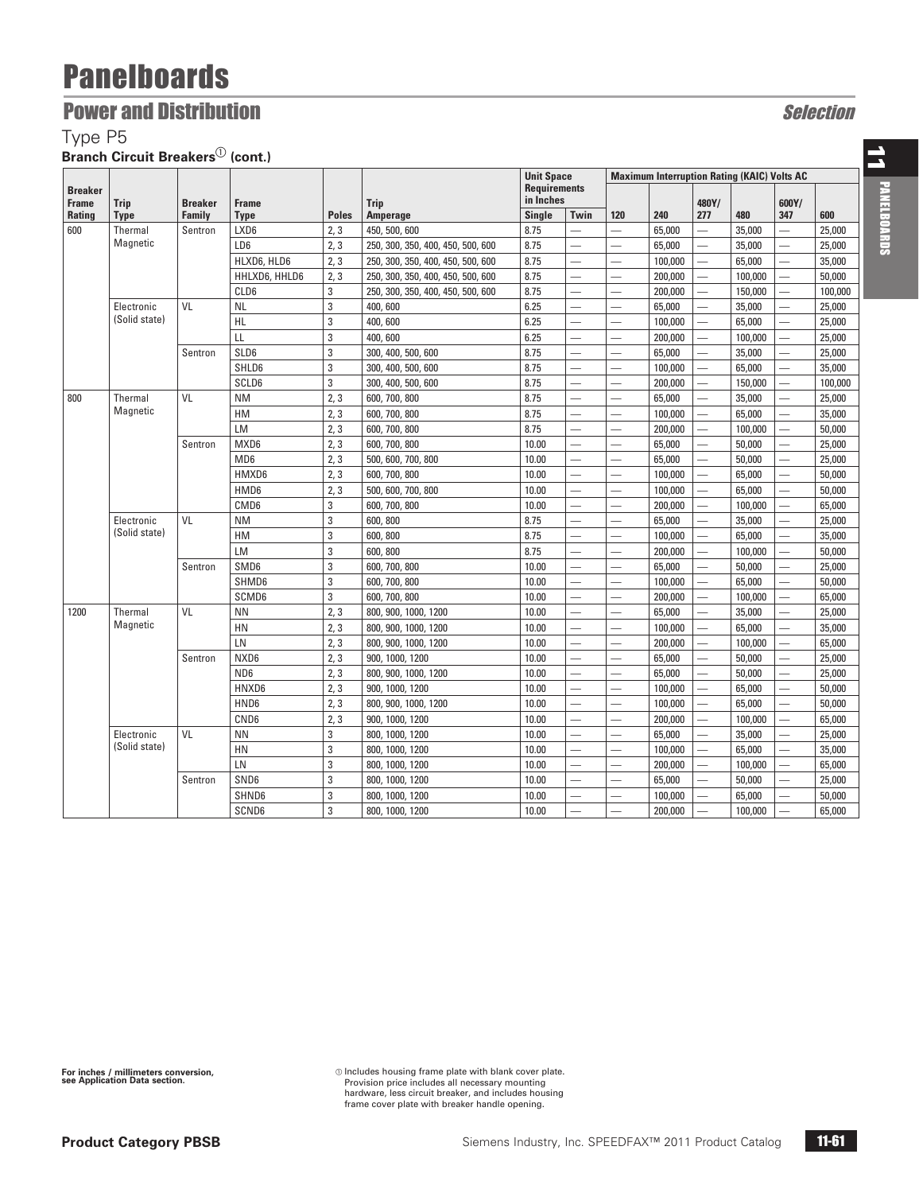### **Power and Distribution Selection** Selection

Type P5

**Branch Circuit Breakers**<sup>1</sup> (cont.)

|                                |                                                                       |                |                          |                 |                                   | <b>Unit Space</b><br><b>Requirements</b><br>in Inches |                          | <b>Maximum Interruption Rating (KAIC) Volts AC</b> |                          |                          |         |                                                                                      |         |
|--------------------------------|-----------------------------------------------------------------------|----------------|--------------------------|-----------------|-----------------------------------|-------------------------------------------------------|--------------------------|----------------------------------------------------|--------------------------|--------------------------|---------|--------------------------------------------------------------------------------------|---------|
| <b>Breaker</b><br><b>Frame</b> |                                                                       | <b>Breaker</b> | <b>Frame</b>             |                 |                                   |                                                       |                          |                                                    |                          | 480Y/                    |         | 600Y/                                                                                |         |
| <b>Rating</b>                  | <b>Trip</b><br><b>Type</b>                                            | Family         | <b>Type</b>              | <b>Poles</b>    | <b>Trip</b><br><b>Amperage</b>    | <b>Single</b>                                         | Twin                     | 120                                                | 240                      | 277                      | 480     | 347                                                                                  | 600     |
| 600                            | Thermal                                                               | Sentron        | LXD6                     | 2, 3            | 450, 500, 600                     | 8.75                                                  | L.                       |                                                    | 65,000                   | $\overline{\phantom{0}}$ | 35,000  | $\overline{\phantom{0}}$                                                             | 25,000  |
|                                | Magnetic                                                              |                | LD6                      | 2, 3            | 250, 300, 350, 400, 450, 500, 600 | 8.75                                                  |                          |                                                    | 65,000                   | $\overline{\phantom{0}}$ | 35,000  |                                                                                      | 25,000  |
|                                |                                                                       |                | HLXD6, HLD6              | 2, 3            | 250, 300, 350, 400, 450, 500, 600 | 8.75                                                  | $\overline{\phantom{0}}$ |                                                    | 100,000                  | $\overline{\phantom{0}}$ | 65,000  |                                                                                      | 35,000  |
|                                |                                                                       |                | HHLXD6, HHLD6            | 2, 3            | 250, 300, 350, 400, 450, 500, 600 | 8.75                                                  | $\overline{\phantom{0}}$ | $\overline{\phantom{0}}$                           | 200,000                  | $\overline{\phantom{0}}$ | 100,000 | $\overline{\phantom{0}}$                                                             | 50,000  |
|                                |                                                                       |                | CLD6                     | 3               | 250, 300, 350, 400, 450, 500, 600 | 8.75                                                  | $\overline{\phantom{0}}$ |                                                    | 200,000                  | $\overline{\phantom{0}}$ | 150,000 |                                                                                      | 100,000 |
|                                | Electronic                                                            | VL             | <b>NL</b>                | 3               | 400,600                           | 6.25                                                  | $\overline{\phantom{0}}$ |                                                    | 65,000                   | $\overline{\phantom{0}}$ | 35,000  |                                                                                      | 25,000  |
|                                | (Solid state)                                                         |                | <b>HL</b>                | 3               | 400,600                           | 6.25                                                  | $\overline{\phantom{0}}$ |                                                    | 100,000                  | $\overline{\phantom{0}}$ | 65,000  |                                                                                      | 25,000  |
|                                |                                                                       |                | LL                       | 3               | 400,600                           | 6.25                                                  | $\overline{\phantom{0}}$ |                                                    | 200,000                  | $\overline{\phantom{0}}$ | 100,000 |                                                                                      | 25,000  |
|                                |                                                                       | Sentron        | SLD6                     | 3               | 300, 400, 500, 600                | 8.75                                                  | $\overline{\phantom{0}}$ |                                                    | 65,000                   | $\overline{\phantom{0}}$ | 35,000  |                                                                                      | 25,000  |
|                                |                                                                       |                | SHLD6                    | 3               | 300, 400, 500, 600                | 8.75                                                  | $\overline{\phantom{0}}$ |                                                    | 100,000                  | $\overline{\phantom{0}}$ | 65,000  |                                                                                      | 35,000  |
|                                |                                                                       |                | SCLD6                    | 3               | 300, 400, 500, 600                | 8.75                                                  | $\overline{\phantom{0}}$ |                                                    | 200,000                  | $\overline{\phantom{0}}$ | 150,000 |                                                                                      | 100,000 |
| 800                            | Thermal                                                               | VL             | <b>NM</b>                | 2, 3            | 600, 700, 800                     | 8.75                                                  | $\overline{\phantom{0}}$ |                                                    | 65,000                   | $\overline{\phantom{0}}$ | 35,000  | $\overline{\phantom{0}}$                                                             | 25,000  |
|                                | Magnetic                                                              |                | HM                       | 2, 3            | 600, 700, 800                     | 8.75                                                  | $\overline{\phantom{0}}$ |                                                    | 100,000                  | $\overline{\phantom{0}}$ | 65,000  |                                                                                      | 35,000  |
|                                |                                                                       |                | <b>LM</b>                | 2, 3            | 600, 700, 800                     | 8.75                                                  | $\overline{\phantom{0}}$ |                                                    | 200,000                  | $\overline{\phantom{0}}$ | 100,000 |                                                                                      | 50,000  |
|                                |                                                                       | Sentron        | MXD6                     | 2, 3            | 600, 700, 800                     | 10.00                                                 | $\overline{\phantom{0}}$ |                                                    | 65,000                   | $\overline{\phantom{0}}$ | 50,000  |                                                                                      | 25,000  |
|                                |                                                                       |                | MD <sub>6</sub>          | 2, 3            | 500, 600, 700, 800                | 10.00                                                 | $\overline{\phantom{0}}$ |                                                    | 65,000                   | $\overline{\phantom{0}}$ | 50,000  | 25,000<br>50,000<br>50,000<br>65,000<br>$\overline{\phantom{0}}$<br>25,000<br>35,000 |         |
|                                |                                                                       |                | HMXD6                    | 2, 3            | 600, 700, 800                     | 10.00                                                 | $\overline{\phantom{0}}$ |                                                    | 100,000                  | $\overline{\phantom{0}}$ | 65,000  |                                                                                      |         |
|                                |                                                                       |                | HMD6                     | 2, 3            | 500, 600, 700, 800                | 10.00                                                 | $\overline{\phantom{0}}$ |                                                    | 100,000                  | $\overline{\phantom{0}}$ | 65,000  |                                                                                      |         |
|                                |                                                                       |                | CMD <sub>6</sub>         | 3               | 600, 700, 800                     | 10.00                                                 | $\overline{\phantom{0}}$ |                                                    | 200,000                  | $\overline{\phantom{0}}$ | 100,000 |                                                                                      |         |
|                                | Electronic                                                            | VL             | <b>NM</b>                | 3               | 600, 800                          | 8.75                                                  | $\overline{\phantom{0}}$ |                                                    | 65,000                   | $\overline{\phantom{0}}$ | 35,000  |                                                                                      |         |
|                                | (Solid state)                                                         |                | HM                       | 3               | 600, 800                          | 8.75                                                  | $\overline{\phantom{0}}$ |                                                    | 100,000                  | $\overline{\phantom{0}}$ | 65,000  |                                                                                      |         |
|                                |                                                                       |                | <b>LM</b>                | 3               | 600, 800                          | 8.75                                                  | $\overline{\phantom{0}}$ |                                                    | 200,000                  | $\overline{\phantom{0}}$ | 100,000 |                                                                                      | 50,000  |
|                                |                                                                       | Sentron        | SMD6                     | 3               | 600, 700, 800                     | 10.00                                                 | $\overline{\phantom{0}}$ |                                                    | 65,000                   | $\overline{\phantom{0}}$ | 50,000  | 25,000                                                                               |         |
|                                |                                                                       |                | SHMD6                    | 3               | 600, 700, 800                     | 10.00                                                 | $\overline{\phantom{0}}$ |                                                    | 100,000                  | $\overline{\phantom{0}}$ | 65,000  |                                                                                      | 50,000  |
|                                |                                                                       |                | SCMD6                    | 3               | 600, 700, 800                     | 10.00                                                 | $\overline{\phantom{0}}$ |                                                    | 200,000                  | $\overline{\phantom{0}}$ | 100,000 |                                                                                      | 65,000  |
| 1200                           | Thermal                                                               | VL             | <b>NN</b>                | 2, 3            | 800, 900, 1000, 1200              | 10.00                                                 | $\overline{\phantom{0}}$ |                                                    | 65,000                   | $\overline{\phantom{0}}$ | 35,000  |                                                                                      | 25,000  |
|                                | Magnetic                                                              |                | HN                       | 2, 3            | 800, 900, 1000, 1200              | 10.00                                                 | $\overline{\phantom{0}}$ |                                                    | 100,000                  | $\overline{\phantom{0}}$ | 65,000  | $\overline{\phantom{0}}$                                                             | 35,000  |
|                                |                                                                       |                | LN                       | 2, 3            | 800, 900, 1000, 1200              | 10.00                                                 | $\overline{\phantom{0}}$ |                                                    | 200,000                  | $\overline{\phantom{0}}$ | 100,000 |                                                                                      | 65,000  |
|                                |                                                                       | Sentron        | NXD6                     | 2, 3            | 900, 1000, 1200                   | 10.00                                                 | $\overline{\phantom{0}}$ |                                                    | 65,000                   |                          | 50,000  |                                                                                      | 25,000  |
|                                |                                                                       |                | ND <sub>6</sub>          | 2, 3            | 800, 900, 1000, 1200              | 10.00                                                 | $\overline{\phantom{0}}$ |                                                    | 65,000                   | $\overline{\phantom{0}}$ | 50,000  |                                                                                      | 25,000  |
|                                | HNXD6<br>2, 3<br>900, 1000, 1200<br>10.00<br>$\overline{\phantom{0}}$ | 100,000        | $\overline{\phantom{0}}$ | 65,000          |                                   | 50,000                                                |                          |                                                    |                          |                          |         |                                                                                      |         |
|                                |                                                                       |                | HND6                     | 2, 3            | 800, 900, 1000, 1200              | 10.00                                                 | $\overline{\phantom{0}}$ |                                                    | 100,000                  | $\overline{\phantom{0}}$ | 65,000  |                                                                                      | 50,000  |
|                                |                                                                       |                | CND <sub>6</sub>         | 2, 3            | 900, 1000, 1200                   | 10.00                                                 | $\overline{\phantom{0}}$ |                                                    | 200,000                  |                          | 100,000 |                                                                                      | 65,000  |
|                                | Electronic                                                            | VL             | <b>NN</b>                | 3               | 800, 1000, 1200                   | 10.00                                                 | $\overline{\phantom{0}}$ |                                                    | 65,000                   | $\overline{\phantom{0}}$ | 35,000  |                                                                                      | 25,000  |
|                                | (Solid state)                                                         |                | HN                       | 3               | 800, 1000, 1200                   | 10.00                                                 | $\overline{\phantom{0}}$ |                                                    | 100,000                  | $\overline{\phantom{0}}$ | 65,000  |                                                                                      | 35,000  |
|                                |                                                                       |                | LN                       | 3               | 800, 1000, 1200                   | 10.00                                                 | $\overline{\phantom{0}}$ |                                                    | 200,000                  | $\overline{\phantom{0}}$ | 100,000 |                                                                                      | 65,000  |
|                                |                                                                       | Sentron        | SND6                     | 3               | 800, 1000, 1200                   | 10.00                                                 | $\overline{\phantom{0}}$ |                                                    | 65,000                   | $\overline{\phantom{0}}$ | 50,000  |                                                                                      | 25,000  |
|                                |                                                                       | SHND6          | 3                        | 800, 1000, 1200 | 10.00                             | $\overline{\phantom{0}}$                              |                          | 100,000                                            | $\overline{\phantom{0}}$ | 65,000                   |         | 50,000                                                                               |         |
|                                |                                                                       |                | SCND6                    | 3               | 800, 1000, 1200                   | 10.00                                                 | ÷.                       |                                                    | 200,000                  |                          | 100,000 |                                                                                      | 65,000  |

a Includes housing frame plate with blank cover plate. Provision price includes all necessary mounting hardware, less circuit breaker, and includes housing frame cover plate with breaker handle opening.

**Product Category PBSB**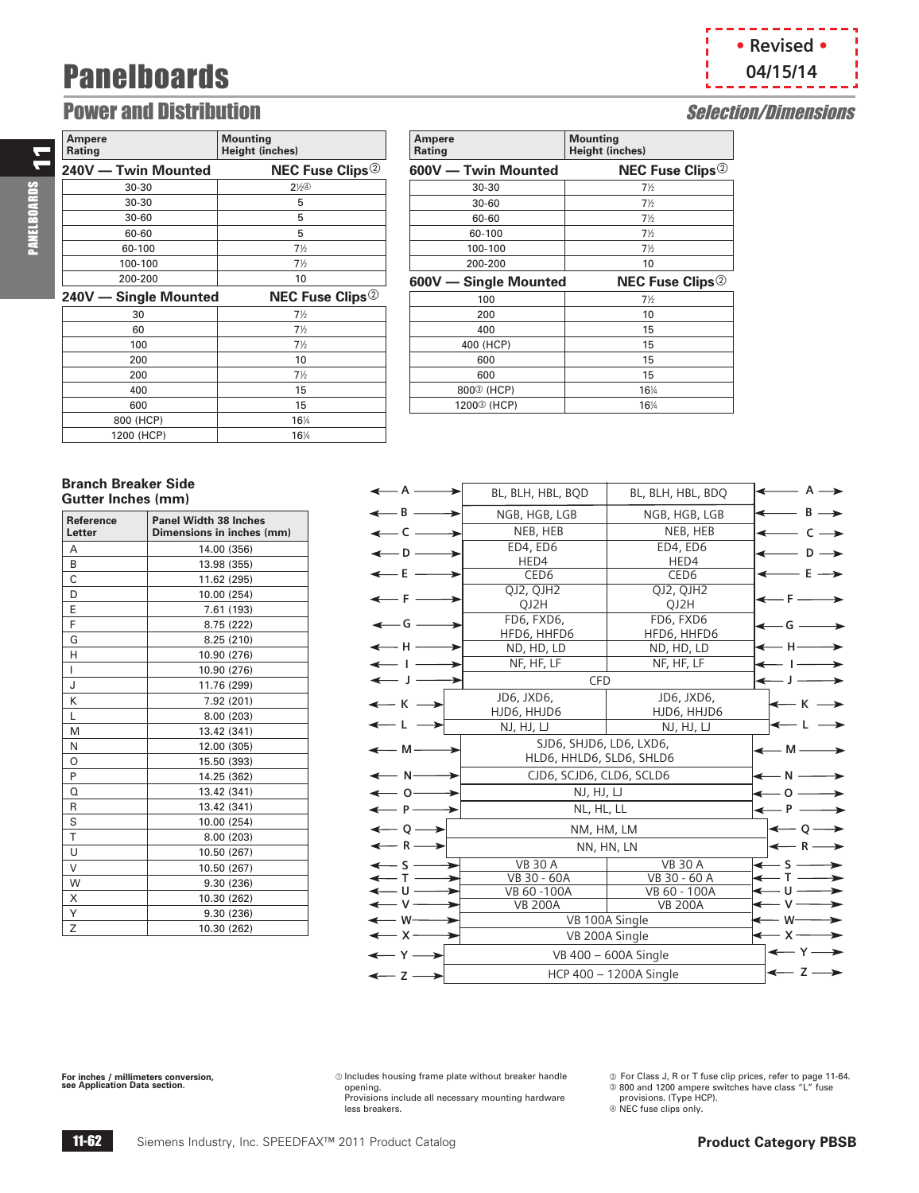11

PANELBOARDS

**PANELBOARDS** 

### Power and Distribution **Selection** Selection **Selection** Selection **Selection** Selection **Selection** Selection **Selection** Selection **Selection** Selection **Selection** Selection **Selection** Selection **Selection** Selection

| Ampere<br>Rating      | <b>Mounting</b><br>Height (inches) |
|-----------------------|------------------------------------|
| 240V - Twin Mounted   | <b>NEC Fuse Clips</b> <sup>2</sup> |
| 30-30                 | $2\%$                              |
| 30-30                 | 5                                  |
| $30 - 60$             | 5                                  |
| 60-60                 | 5                                  |
| 60-100                | $7\frac{1}{2}$                     |
| 100-100               | $7\frac{1}{2}$                     |
| 200-200               | 10                                 |
| 240V - Single Mounted | <b>NEC Fuse Clips</b> <sup>2</sup> |
|                       |                                    |
| 30                    | $7\frac{1}{2}$                     |
| 60                    | $7\frac{1}{2}$                     |
| 100                   | $7\frac{1}{2}$                     |
| 200                   | 10                                 |
| 200                   | $7\frac{1}{2}$                     |
| 400                   | 15                                 |
| 600                   | 15                                 |
| 800 (HCP)             | 16%                                |

| <b>Ampere</b><br>Rating | <b>Mounting</b><br><b>Height (inches)</b> |
|-------------------------|-------------------------------------------|
| 600V - Twin Mounted     | <b>NEC Fuse Clips</b> <sup>2</sup>        |
| $30 - 30$               | $7\frac{1}{2}$                            |
| $30 - 60$               | $7\frac{1}{2}$                            |
| 60-60                   | $7\frac{1}{2}$                            |
| 60-100                  | $7\frac{1}{2}$                            |
| 100-100                 | $7\frac{1}{2}$                            |
| 200-200                 | 10                                        |
|                         |                                           |
| 600V - Single Mounted   | <b>NEC Fuse Clips</b> <sup>2</sup>        |
| 100                     | $7\frac{1}{2}$                            |
| 200                     | 10                                        |
| 400                     | 15                                        |
| 400 (HCP)               | 15                                        |
| 600                     | 15                                        |
| 600                     | 15                                        |
| 800 <sup>3</sup> (HCP)  | 16%                                       |

#### **Branch Breaker Side Gutter Inches (mm)**

| <b>Reference</b><br>Letter | <b>Panel Width 38 Inches</b><br>Dimensions in inches (mm) |
|----------------------------|-----------------------------------------------------------|
| A                          | 14.00 (356)                                               |
| B                          | 13.98 (355)                                               |
| Ċ                          | 11.62 (295)                                               |
| D                          | 10.00 (254)                                               |
| E                          | 7.61 (193)                                                |
| F                          | 8.75 (222)                                                |
| G                          | 8.25 (210)                                                |
| H                          | 10.90 (276)                                               |
| L                          | 10.90 (276)                                               |
| J                          | 11.76 (299)                                               |
| K                          | 7.92 (201)                                                |
| L                          | 8.00 (203)                                                |
| M                          | 13.42 (341)                                               |
| N                          | 12.00 (305)                                               |
| O                          | 15.50 (393)                                               |
| P                          | 14.25 (362)                                               |
| O                          | 13.42 (341)                                               |
| R                          | 13.42 (341)                                               |
| S                          | 10.00 (254)                                               |
| T                          | 8.00 (203)                                                |
| U                          | 10.50 (267)                                               |
| V                          | 10.50 (267)                                               |
| W                          | 9.30 (236)                                                |
| X                          | 10.30 (262)                                               |
| Υ                          | 9.30 (236)                                                |
| Z                          | 10.30 (262)                                               |

#### NEB, HEB NEB, HEB ED4, ED6 ED4, ED6 HED4 HED4 CED6 CED6<br>2, QJH2 QJ2, QJH2 QJ2, QJH2 QJ2, QJH2  $QJ2H$  FD6, FXD6, FD6, FXD6 HFD6, HHFD6  $H \longrightarrow$  ND, HD, LD ND, HD, LD  $\leftarrow H$  $\begin{array}{ccc} \hline \text{I} & \text{I} & \text{I} & \text{I} \end{array}$  NF, HF, LF **I**  CFD JD6, JXD6, JD6, JXD6,  $K \longrightarrow$   $HJD6, HHD6$   $HJD6$ ,  $HHD6$   $HJD6$  NJ, HJ, LJ NJ, HJ, LJ **L L**  SJD6, SHJD6, LD6, LXD6,  $M \longrightarrow$ <br> $HLD6, HHLD6, SLD6, SHLD6$  $N \longrightarrow$  CJD6, SCJD6, CLD6, SCLD6  $\begin{array}{ccc} 0 & \longrightarrow & \mathbb{N}, \mathbb{H}, \mathbb{U} & \mathbb{R} \longrightarrow & 0 \end{array}$  $P \longrightarrow$  NL, HL, LL  $\leftarrow P$  $Q \longrightarrow$  NM, HM, LM  $R \longrightarrow$  NN, HN, LN  $\left| \leftarrow R \right|$  $\overline{a}$  $\overline{a}$  VB 100A Single **A**   $-$  **D**  $-$ VB 30 A VB 30 A<br>VB 30 - 60A VB 30 - 60 VB 30 - 60A<br>VB 60 - 100A<br>VB 60 - 100A<br>VB 60 - 100A VB 60 - 100A  $-E =$  $-F -$ **G**   $- A \rightarrow$  $D \rightarrow$  $E \rightarrow$ BL, BLH, HBL, BQD | BL, BLH, HBL, BDQ  $\mathsf{B} \longrightarrow \mathsf{NGB}, \mathsf{HGB}, \mathsf{LGB} \quad | \mathsf{NGB}, \mathsf{HGB}, \mathsf{LGB} \quad | \mathsf{S} \longrightarrow \mathsf{B}$  $-C \longrightarrow$  NEB, HEB NEB, HEB  $\leftarrow C \longrightarrow$ **F G**   $J \longrightarrow$  CFD  $\leftarrow$  J VB 200A VB 200A VB 200A Single  $\overline{a}$ **S T U V W X S T U V W X**   $Y \longrightarrow$  VB 400 – 600A Single  $\leftarrow Y$  $Z \longrightarrow$  HCP 400 – 1200A Single  $Z \longrightarrow$  Z

**For inches / millimeters conversion, see Application Data section.**

 $$\odot$  Includes housing frame plate without breaker handle$ opening.

Provisions include all necessary mounting hardware less breakers.

@ For Class J, R or T fuse clip prices, refer to page 11-64.<br>® 800 and 1200 ampere switches have class "L" fuse

provisions. (Type HCP).  $@$  NEC fuse clips only.

11-62 Siemens Industry, Inc. SPEEDFAX<sup>™</sup> 2011 Product Catalog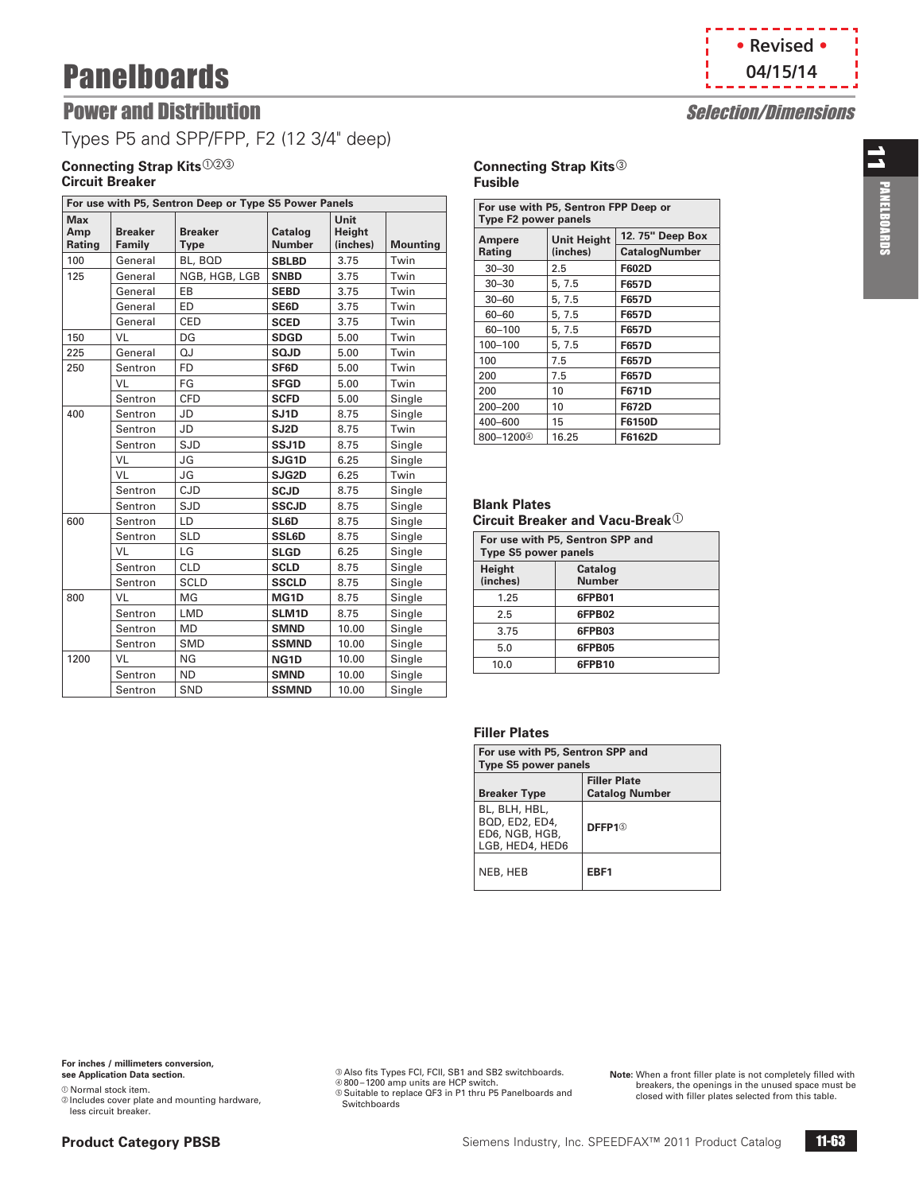

## **Power and Distribution Selection Selection Selection Selection Selection Selection Selection Selection Selection Selection Selection Selection Selection Selection Selection Selection Selection Selection Selection Selectio**

Types P5 and SPP/FPP, F2 (12 3/4" deep)

### **Connecting Strap Kits**<sup>023</sup> **Circuit Breaker**

| For use with P5, Sentron Deep or Type S5 Power Panels |                          |                               |                          |                            |                 |
|-------------------------------------------------------|--------------------------|-------------------------------|--------------------------|----------------------------|-----------------|
| <b>Max</b><br>Amp<br>Rating                           | <b>Breaker</b><br>Family | <b>Breaker</b><br><b>Type</b> | Catalog<br><b>Number</b> | Unit<br>Height<br>(inches) | <b>Mounting</b> |
| 100                                                   | General                  | BL, BQD                       | <b>SBLBD</b>             | 3.75                       | Twin            |
| 125                                                   | General                  | NGB, HGB, LGB                 | <b>SNBD</b>              | 3.75                       | Twin            |
|                                                       | General                  | EB                            | <b>SEBD</b>              | 3.75                       | Twin            |
|                                                       | General                  | ED                            | SE6D                     | 3.75                       | Twin            |
|                                                       | General                  | <b>CED</b>                    | <b>SCED</b>              | 3.75                       | Twin            |
| 150                                                   | VL                       | DG                            | <b>SDGD</b>              | 5.00                       | Twin            |
| 225                                                   | General                  | QJ                            | <b>SQJD</b>              | 5.00                       | Twin            |
| 250                                                   | Sentron                  | <b>FD</b>                     | SF6D                     | 5.00                       | Twin            |
|                                                       | VL                       | FG                            | <b>SFGD</b>              | 5.00                       | Twin            |
|                                                       | Sentron                  | <b>CFD</b>                    | <b>SCFD</b>              | 5.00                       | Single          |
| 400                                                   | Sentron                  | JD                            | SJ <sub>1</sub> D        | 8.75                       | Single          |
|                                                       | Sentron                  | <b>JD</b>                     | SJ2D                     | 8.75                       | Twin            |
|                                                       | Sentron                  | <b>SJD</b>                    | SSJ1D                    | 8.75                       | Single          |
|                                                       | VL                       | JG                            | SJG1D                    | 6.25                       | Single          |
|                                                       | VL                       | JG                            | SJG2D                    | 6.25                       | Twin            |
|                                                       | Sentron                  | CJD                           | <b>SCJD</b>              | 8.75                       | Single          |
|                                                       | Sentron                  | <b>SJD</b>                    | <b>SSCJD</b>             | 8.75                       | Single          |
| 600                                                   | Sentron                  | LD                            | SL6D                     | 8.75                       | Single          |
|                                                       | Sentron                  | <b>SLD</b>                    | <b>SSL6D</b>             | 8.75                       | Single          |
|                                                       | VL                       | LG                            | <b>SLGD</b>              | 6.25                       | Single          |
|                                                       | Sentron                  | <b>CLD</b>                    | <b>SCLD</b>              | 8.75                       | Single          |
|                                                       | Sentron                  | <b>SCLD</b>                   | <b>SSCLD</b>             | 8.75                       | Single          |
| 800                                                   | VL                       | MG                            | MG1D                     | 8.75                       | Single          |
|                                                       | Sentron                  | <b>LMD</b>                    | SLM1D                    | 8.75                       | Single          |
|                                                       | Sentron                  | <b>MD</b>                     | <b>SMND</b>              | 10.00                      | Single          |
|                                                       | Sentron                  | <b>SMD</b>                    | <b>SSMND</b>             | 10.00                      | Single          |
| 1200                                                  | VL                       | NG                            | NG <sub>1</sub> D        | 10.00                      | Single          |
|                                                       | Sentron                  | <b>ND</b>                     | <b>SMND</b>              | 10.00                      | Single          |
|                                                       | Sentron                  | SND                           | <b>SSMND</b>             | 10.00                      | Single          |

#### **Connecting Strap Kits**<sup>3</sup> **Fusible**

| For use with P5, Sentron FPP Deep or<br><b>Type F2 power panels</b> |                    |                      |  |  |
|---------------------------------------------------------------------|--------------------|----------------------|--|--|
| Ampere                                                              | <b>Unit Height</b> | 12.75" Deep Box      |  |  |
| Rating                                                              | (inches)           | <b>CatalogNumber</b> |  |  |
| $30 - 30$                                                           | 2.5                | F602D                |  |  |
| $30 - 30$                                                           | 5, 7.5             | <b>F657D</b>         |  |  |
| $30 - 60$                                                           | 5, 7.5             | <b>F657D</b>         |  |  |
| 60-60                                                               | 5, 7.5             | <b>F657D</b>         |  |  |
| 60-100                                                              | 5, 7.5             | <b>F657D</b>         |  |  |
| 100-100                                                             | 5, 7.5             | <b>F657D</b>         |  |  |
| 100                                                                 | 7.5                | F657D                |  |  |
| 200                                                                 | 7.5                | <b>F657D</b>         |  |  |
| 200                                                                 | 10                 | <b>F671D</b>         |  |  |
| 200-200                                                             | 10                 | <b>F672D</b>         |  |  |
| 400-600                                                             | 15                 | F6150D               |  |  |
| 800-12004                                                           | 16.25              | F6162D               |  |  |

#### **Blank Plates Circuit Breaker and Vacu-Break**<sup>1</sup>

| For use with P5, Sentron SPP and<br><b>Type S5 power panels</b> |                          |  |  |
|-----------------------------------------------------------------|--------------------------|--|--|
| Height<br>(inches)                                              | Catalog<br><b>Number</b> |  |  |
| 1.25                                                            | 6FPB01                   |  |  |
| 2.5                                                             | 6FPB02                   |  |  |
| 3.75                                                            | 6FPB03                   |  |  |
| 5.0                                                             | 6FPB05                   |  |  |
| 10.0                                                            | 6FPB10                   |  |  |

### **Filler Plates**

| For use with P5, Sentron SPP and<br><b>Type S5 power panels</b>      |                                              |  |  |
|----------------------------------------------------------------------|----------------------------------------------|--|--|
| <b>Breaker Type</b>                                                  | <b>Filler Plate</b><br><b>Catalog Number</b> |  |  |
| BL, BLH, HBL,<br>BQD, ED2, ED4,<br>ED6, NGB, HGB,<br>LGB, HED4, HED6 | DFFP1 <sup>6</sup>                           |  |  |
| NEB, HEB                                                             | EBF1                                         |  |  |

 $@$  Normal stock item.

b Includes cover plate and mounting hardware, less circuit breaker.

® Also fits Types FCI, FCII, SB1 and SB2 switchboards.<br>® 800–1200 amp units are HCP switch. Suitable to replace QF3 in P1 thru P5 Panelboards and Switchboards

**Note:** When a front filler plate is not completely filled with breakers, the openings in the unused space must be closed with filler plates selected from this table.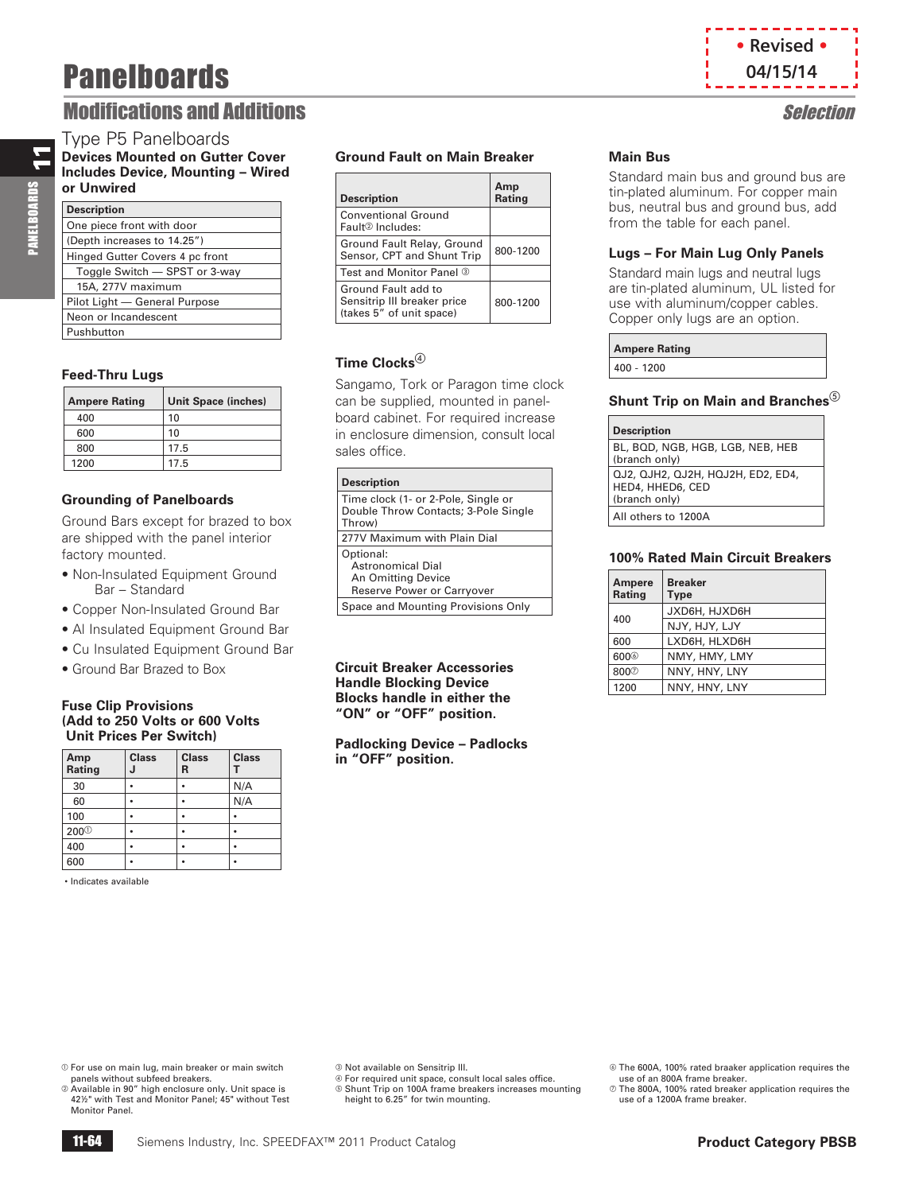### **Modifications and Additions Selection**

### Type P5 Panelboards

**Devices Mounted on Gutter Cover Includes Device, Mounting – Wired or Unwired**

| <b>Description</b>              |
|---------------------------------|
| One piece front with door       |
| (Depth increases to 14.25")     |
| Hinged Gutter Covers 4 pc front |
| Toggle Switch - SPST or 3-way   |
| 15A, 277V maximum               |
| Pilot Light - General Purpose   |
| Neon or Incandescent            |
| Pushbutton                      |

### **Feed-Thru Lugs**

| <b>Ampere Rating</b> | <b>Unit Space (inches)</b> |
|----------------------|----------------------------|
| 400                  | 10                         |
| 600                  | 10                         |
| 800                  | 17.5                       |
| 1200                 | 17.5                       |

### **Grounding of Panelboards**

Ground Bars except for brazed to box are shipped with the panel interior factory mounted.

- Non-Insulated Equipment Ground Bar – Standard
- Copper Non-Insulated Ground Bar
- Al Insulated Equipment Ground Bar
- Cu Insulated Equipment Ground Bar
- Ground Bar Brazed to Box

#### **Fuse Clip Provisions (Add to 250 Volts or 600 Volts Unit Prices Per Switch)**

| Amp<br>Rating | <b>Class</b> | <b>Class</b><br>R | <b>Class</b> |
|---------------|--------------|-------------------|--------------|
| 30            |              |                   | N/A          |
| 60            |              |                   | N/A          |
| 100           |              |                   |              |
| $200^\circ$   |              |                   |              |
| 400           |              |                   |              |
| 600           |              |                   |              |

• Indicates available

### **Ground Fault on Main Breaker**

| <b>Description</b>                                                             | Amp<br><b>Rating</b> |
|--------------------------------------------------------------------------------|----------------------|
| <b>Conventional Ground</b><br>Fault <sup>2</sup> Includes:                     |                      |
| Ground Fault Relay, Ground<br>Sensor, CPT and Shunt Trip                       | 800-1200             |
| Test and Monitor Panel 3                                                       |                      |
| Ground Fault add to<br>Sensitrip III breaker price<br>(takes 5" of unit space) | 800-1200             |

### **Time Clocks**<sup>4</sup>

Sangamo, Tork or Paragon time clock can be supplied, mounted in panelboard cabinet. For required increase in enclosure dimension, consult local sales office.

| <b>Description</b>                                                                    |
|---------------------------------------------------------------------------------------|
| Time clock (1- or 2-Pole, Single or<br>Double Throw Contacts; 3-Pole Single<br>Throw) |
| 277V Maximum with Plain Dial                                                          |
| Optional:<br>Astronomical Dial<br>An Omitting Device<br>Reserve Power or Carryover    |
| Space and Mounting Provisions Only                                                    |

**Circuit Breaker Accessories Handle Blocking Device Blocks handle in either the "ON" or "OFF" position.**

**Padlocking Device – Padlocks in "OFF" position.**

### **Main Bus**

Standard main bus and ground bus are tin-plated aluminum. For copper main bus, neutral bus and ground bus, add from the table for each panel.

**• Revised • 04/15/14**

### **Lugs – For Main Lug Only Panels**

Standard main lugs and neutral lugs are tin-plated aluminum, UL listed for use with aluminum/copper cables. Copper only lugs are an option.

| <b>Ampere Rating</b> |  |
|----------------------|--|
| $400 - 1200$         |  |

#### **Shunt Trip on Main and Branches**

| <b>Description</b>                                                     |
|------------------------------------------------------------------------|
| BL, BQD, NGB, HGB, LGB, NEB, HEB<br>(branch only)                      |
| QJ2, QJH2, QJ2H, HQJ2H, ED2, ED4,<br>HED4, HHED6, CED<br>(branch only) |
| All others to 1200A                                                    |

### **100% Rated Main Circuit Breakers**

| <b>Ampere</b><br>Rating | <b>Breaker</b><br><b>Type</b> |
|-------------------------|-------------------------------|
| 400                     | JXD6H, HJXD6H                 |
|                         | NJY, HJY, LJY                 |
| 600                     | LXD6H, HLXD6H                 |
| 600 <sup>©</sup>        | NMY, HMY, LMY                 |
| 800 <sup>7</sup>        | NNY, HNY, LNY                 |
| 1200                    | NNY, HNY, LNY                 |

a For use on main lug, main breaker or main switch panels without subfeed breakers.

 Available in 90" high enclosure only. Unit space is 42½" with Test and Monitor Panel; 45" without Test Monitor Panel.

c Not available on Sensitrip III.

d For required unit space, consult local sales office.

Shunt Trip on 100A frame breakers increases mounting height to 6.25" for twin mounting.

 The 600A, 100% rated braaker application requires the use of an 800A frame breaker.

 $\oslash$  The 800A, 100% rated breaker application requires the use of a 1200A frame breaker.

# 11 **PANELBOARDS** PANELBOARDS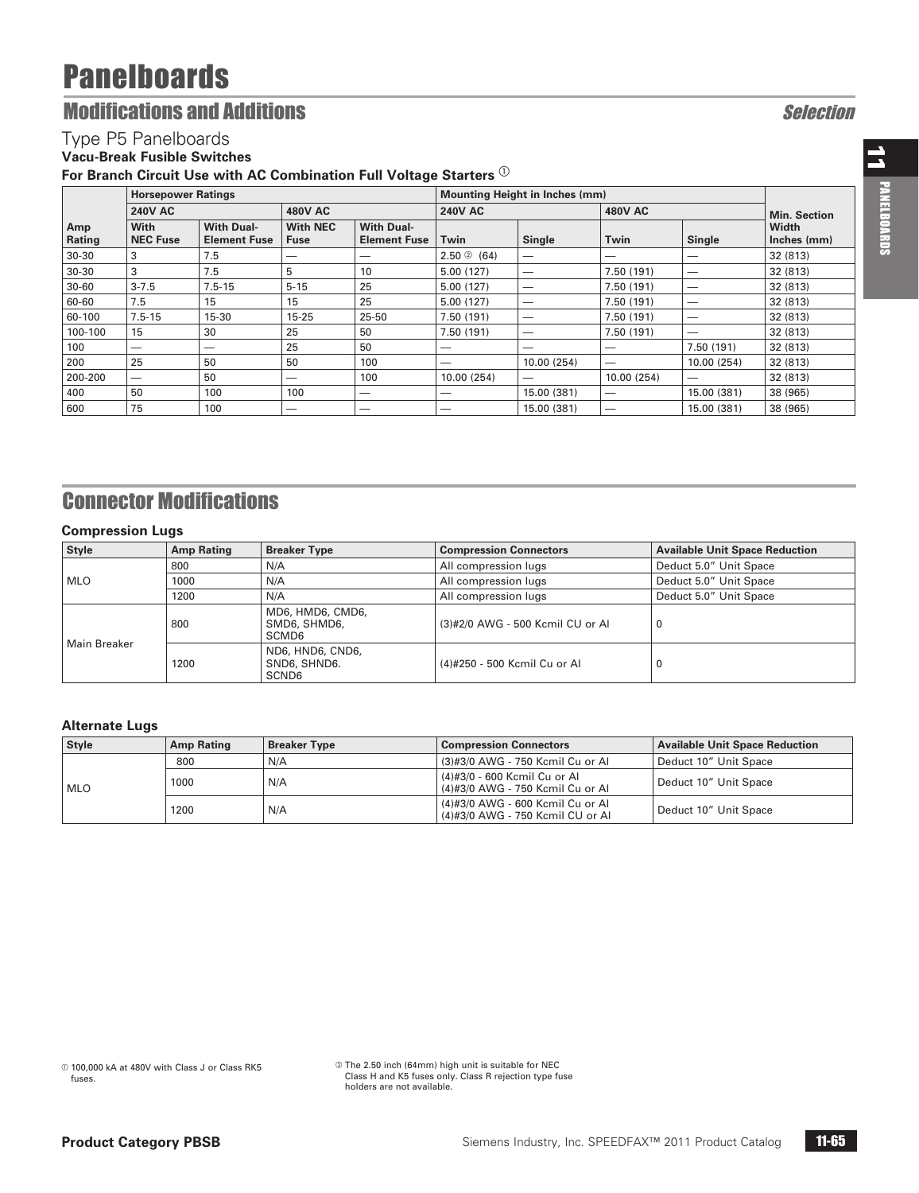## **Modifications and Additions Selection**

### Type P5 Panelboards

### **Vacu-Break Fusible Switches**

For Branch Circuit Use with AC Combination Full Voltage Starters  $^{\textcircled{\tiny{\textcirc}}}$ 

| <b>Horsepower Ratings</b> |                                |                                          | <b>Mounting Height in Inches (mm)</b> |                                          |                |                          |                |             |                      |
|---------------------------|--------------------------------|------------------------------------------|---------------------------------------|------------------------------------------|----------------|--------------------------|----------------|-------------|----------------------|
|                           | <b>240V AC</b>                 |                                          | <b>480V AC</b>                        |                                          | <b>240V AC</b> |                          | <b>480V AC</b> |             | <b>Min. Section</b>  |
| Amp<br>Rating             | <b>With</b><br><b>NEC Fuse</b> | <b>With Dual-</b><br><b>Element Fuse</b> | <b>With NEC</b><br><b>Fuse</b>        | <b>With Dual-</b><br><b>Element Fuse</b> | Twin           | Single                   | Twin           | Single      | Width<br>Inches (mm) |
| $30 - 30$                 | 3                              | 7.5                                      |                                       | --                                       | 2.50@(64)      | $\overline{\phantom{0}}$ | _              |             | 32 (813)             |
| $30 - 30$                 | 3                              | 7.5                                      | 5                                     | 10                                       | 5.00(127)      | –                        | 7.50 (191)     | –           | 32 (813)             |
| $30 - 60$                 | $3 - 7.5$                      | $7.5 - 15$                               | $5 - 15$                              | 25                                       | 5.00(127)      | –                        | 7.50 (191)     | –           | 32 (813)             |
| 60-60                     | 7.5                            | 15                                       | 15                                    | 25                                       | 5.00(127)      | –                        | 7.50 (191)     | –           | 32 (813)             |
| 60-100                    | $7.5 - 15$                     | $15 - 30$                                | $15 - 25$                             | 25-50                                    | 7.50 (191)     | –                        | 7.50 (191)     | –           | 32 (813)             |
| 100-100                   | 15                             | 30                                       | 25                                    | 50                                       | 7.50(191)      | –                        | 7.50 (191)     | --          | 32 (813)             |
| 100                       | –                              | –                                        | 25                                    | 50                                       | –              | –                        | –              | 7.50 (191)  | 32 (813)             |
| 200                       | 25                             | 50                                       | 50                                    | 100                                      | -              | 10.00 (254)              | -              | 10.00 (254) | 32 (813)             |
| 200-200                   | -                              | 50                                       |                                       | 100                                      | 10.00 (254)    | _                        | 10.00 (254)    | —           | 32 (813)             |
| 400                       | 50                             | 100                                      | 100                                   | —                                        | –              | 15.00 (381)              | —              | 15.00 (381) | 38 (965)             |
| 600                       | 75                             | 100                                      | –                                     | -                                        | -              | 15.00 (381)              | _              | 15.00 (381) | 38 (965)             |

## Connector Modifications

### **Compression Lugs**

| Style        | <b>Amp Rating</b> | <b>Breaker Type</b>                                   | <b>Compression Connectors</b>    | <b>Available Unit Space Reduction</b> |  |
|--------------|-------------------|-------------------------------------------------------|----------------------------------|---------------------------------------|--|
|              | 800               | N/A                                                   | All compression lugs             | Deduct 5.0" Unit Space                |  |
| <b>MLO</b>   | 1000              | N/A                                                   | All compression lugs             | Deduct 5.0" Unit Space                |  |
|              | 1200              | N/A                                                   | All compression lugs             | Deduct 5.0" Unit Space                |  |
|              | 800               | MD6, HMD6, CMD6,<br>SMD6, SHMD6,<br>SCMD <sub>6</sub> | (3)#2/0 AWG - 500 Kcmil CU or Al | $\Omega$                              |  |
| Main Breaker | 1200              | ND6, HND6, CND6,<br>SND6, SHND6.<br>SCND6             | (4)#250 - 500 Kcmil Cu or Al     | 0                                     |  |

### **Alternate Lugs**

| <b>Style</b> | <b>Amp Rating</b><br><b>Breaker Type</b><br><b>Compression Connectors</b> |                                                                      | <b>Available Unit Space Reduction</b>                            |                       |
|--------------|---------------------------------------------------------------------------|----------------------------------------------------------------------|------------------------------------------------------------------|-----------------------|
|              | 800                                                                       | N/A                                                                  | (3)#3/0 AWG - 750 Kcmil Cu or Al                                 | Deduct 10" Unit Space |
| l mlo        | 1000                                                                      | N/A                                                                  | (4)#3/0 - 600 Kcmil Cu or Al<br>(4)#3/0 AWG - 750 Kcmil Cu or Al | Deduct 10" Unit Space |
|              | N/A<br>1200                                                               | (4)#3/0 AWG - 600 Kcmil Cu or Al<br>(4)#3/0 AWG - 750 Kcmil CU or Al | Deduct 10" Unit Space                                            |                       |

 The 2.50 inch (64mm) high unit is suitable for NEC Class H and K5 fuses only. Class R rejection type fuse holders are not available.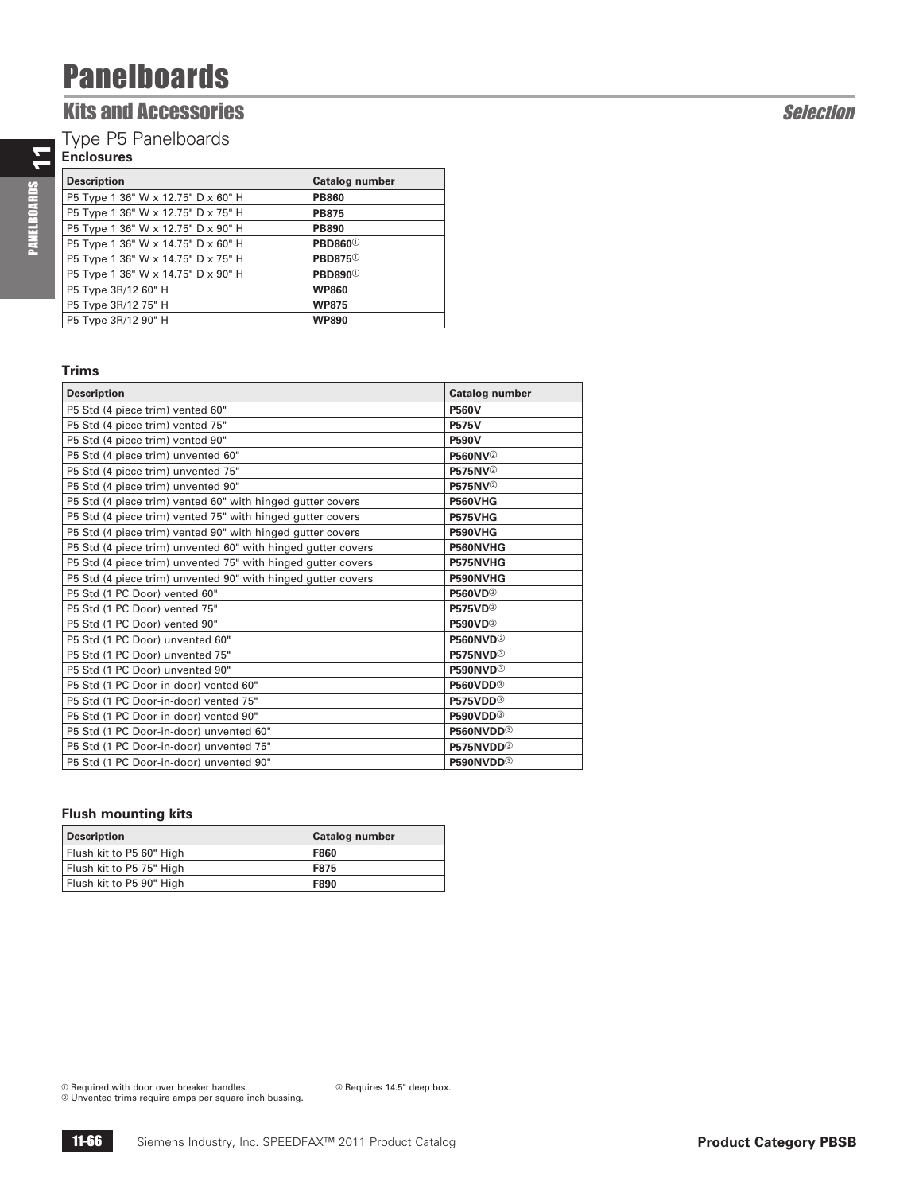### **Kits and Accessories Selection**

Type P5 Panelboards

### **Enclosures**

PANELBOARDS 11 PANELBOARDS

| <b>Description</b>                 | <b>Catalog number</b>      |
|------------------------------------|----------------------------|
| P5 Type 1 36" W x 12.75" D x 60" H | <b>PB860</b>               |
| P5 Type 1 36" W x 12.75" D x 75" H | <b>PB875</b>               |
| P5 Type 1 36" W x 12.75" D x 90" H | <b>PB890</b>               |
| P5 Type 1 36" W x 14.75" D x 60" H | <b>PBD860</b> <sup>0</sup> |
| P5 Type 1 36" W x 14.75" D x 75" H | <b>PBD875</b> <sup>0</sup> |
| P5 Type 1 36" W x 14.75" D x 90" H | <b>PBD890</b> <sup>0</sup> |
| P5 Type 3R/12 60" H                | <b>WP860</b>               |
| P5 Type 3R/12 75" H                | <b>WP875</b>               |
| P5 Type 3R/12 90" H                | <b>WP890</b>               |

### **Trims**

| <b>Description</b>                                           | Catalog number              |
|--------------------------------------------------------------|-----------------------------|
| P5 Std (4 piece trim) vented 60"                             | <b>P560V</b>                |
| P5 Std (4 piece trim) vented 75"                             | <b>P575V</b>                |
| P5 Std (4 piece trim) vented 90"                             | <b>P590V</b>                |
| P5 Std (4 piece trim) unvented 60"                           | <b>P560NV</b> <sup>2</sup>  |
| P5 Std (4 piece trim) unvented 75"                           | <b>P575NV</b> <sup>2</sup>  |
| P5 Std (4 piece trim) unvented 90"                           | <b>P575NV</b> <sup>2</sup>  |
| P5 Std (4 piece trim) vented 60" with hinged gutter covers   | <b>P560VHG</b>              |
| P5 Std (4 piece trim) vented 75" with hinged gutter covers   | P575VHG                     |
| P5 Std (4 piece trim) vented 90" with hinged gutter covers   | P590VHG                     |
| P5 Std (4 piece trim) unvented 60" with hinged gutter covers | P560NVHG                    |
| P5 Std (4 piece trim) unvented 75" with hinged gutter covers | P575NVHG                    |
| P5 Std (4 piece trim) unvented 90" with hinged gutter covers | P590NVHG                    |
| P5 Std (1 PC Door) vented 60"                                | <b>P560VD</b> <sup>3</sup>  |
| P5 Std (1 PC Door) vented 75"                                | <b>P575VD</b> <sup>3</sup>  |
| P5 Std (1 PC Door) vented 90"                                | <b>P590VD</b> <sup>3</sup>  |
| P5 Std (1 PC Door) unvented 60"                              | <b>P560NVD</b> <sup>3</sup> |
| P5 Std (1 PC Door) unvented 75"                              | P575NVD <sup>®</sup>        |
| P5 Std (1 PC Door) unvented 90"                              | P590NVD <sup>3</sup>        |
| P5 Std (1 PC Door-in-door) vented 60"                        | P560VDD <sup>3</sup>        |
| P5 Std (1 PC Door-in-door) vented 75"                        | P575VDD <sup>3</sup>        |
| P5 Std (1 PC Door-in-door) vented 90"                        | P590VDD <sup>3</sup>        |
| P5 Std (1 PC Door-in-door) unvented 60"                      | P560NVDD <sup>3</sup>       |
| P5 Std (1 PC Door-in-door) unvented 75"                      | P575NVDD <sup>3</sup>       |
| P5 Std (1 PC Door-in-door) unvented 90"                      | P590NVDD <sup>3</sup>       |

### **Flush mounting kits**

| <b>Description</b>       | <b>Catalog number</b> |
|--------------------------|-----------------------|
| Flush kit to P5 60" High | <b>F860</b>           |
| Flush kit to P5 75" High | <b>F875</b>           |
| Flush kit to P5 90" High | F890                  |

 $<sup>①</sup>$  Required with door over breaker handles.</sup> Unvented trims require amps per square inch bussing.